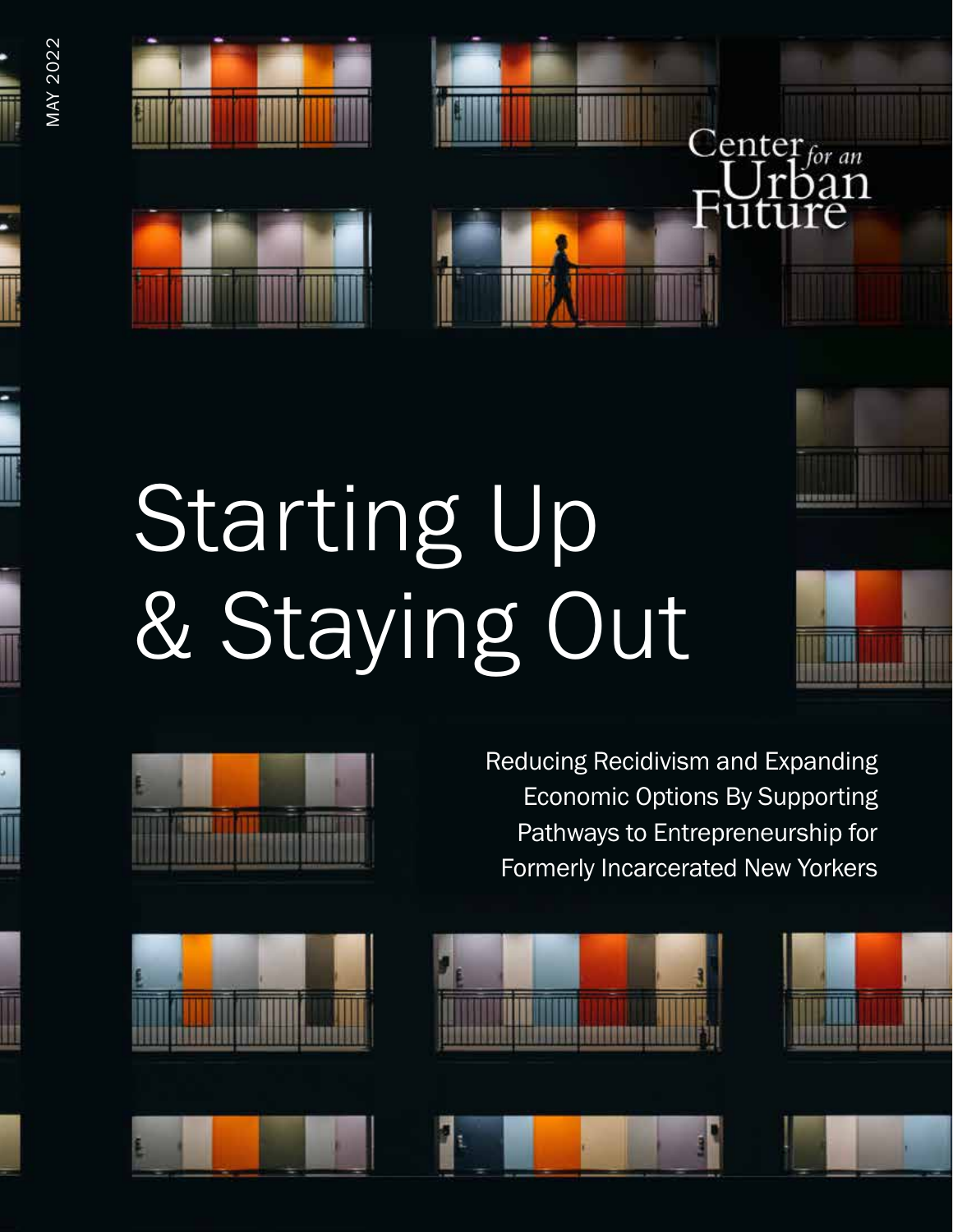

MAY 2022

**MAY 2022** 



## Starting Up & Staying Out



Reducing Recidivism and Expanding Economic Options By Supporting Pathways to Entrepreneurship for Formerly Incarcerated New Yorkers

 $C_{\text{enter}_{for an}}$ 

oan





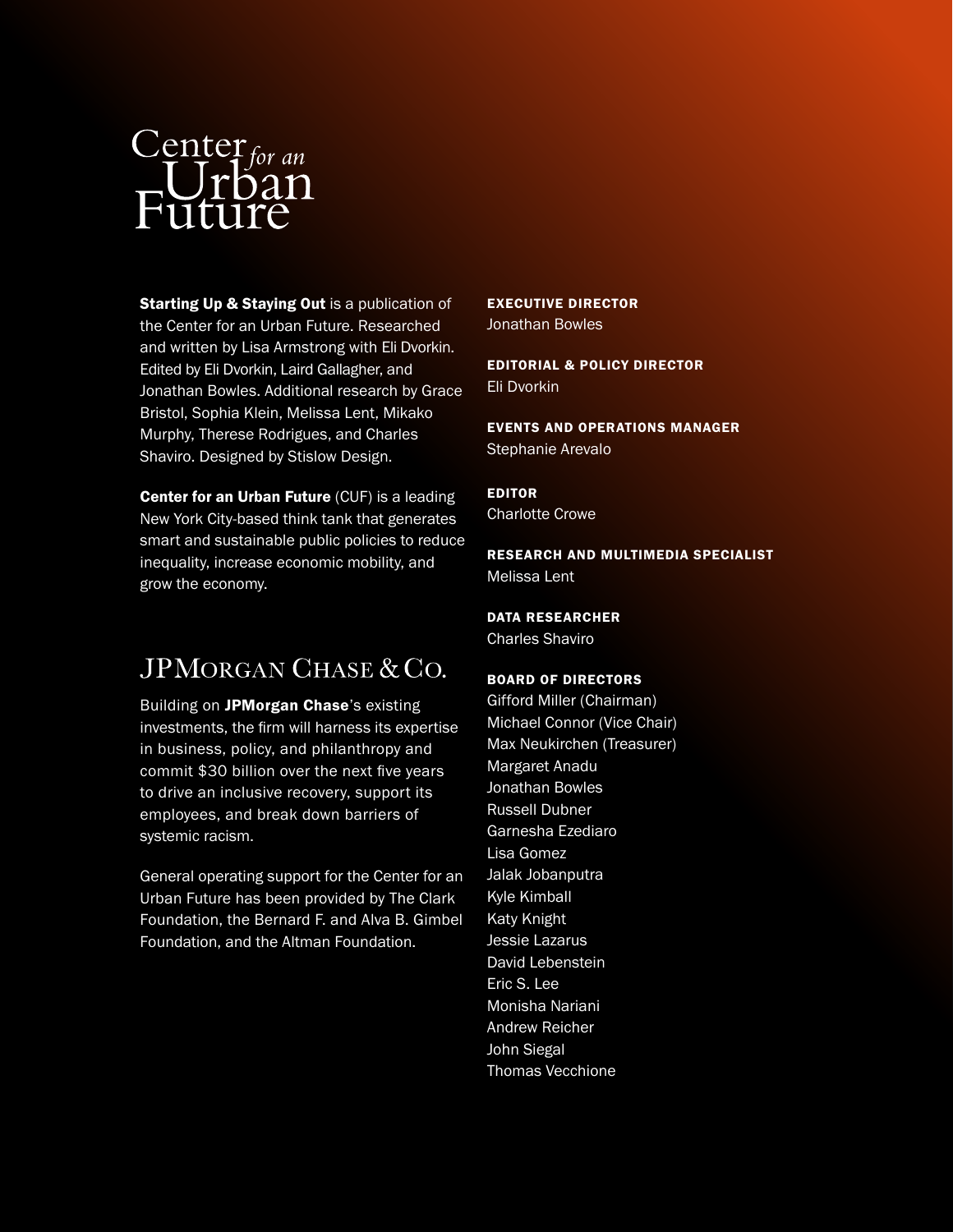# Center<sub>for an</sub><br>EUrban<br>Future

**Starting Up & Staying Out is a publication of** the Center for an Urban Future. Researched and written by Lisa Armstrong with Eli Dvorkin. Edited by Eli Dvorkin, Laird Gallagher, and Jonathan Bowles. Additional research by Grace Bristol, Sophia Klein, Melissa Lent, Mikako Murphy, Therese Rodrigues, and Charles Shaviro. Designed by Stislow Design.

**Center for an Urban Future (CUF) is a leading** New York City-based think tank that generates smart and sustainable public policies to reduce inequality, increase economic mobility, and grow the economy.

### $IPMORGAN CHASE & CO.$

Building on JPMorgan Chase's existing investments, the firm will harness its expertise in business, policy, and philanthropy and commit \$30 billion over the next five years to drive an inclusive recovery, support its employees, and break down barriers of systemic racism.

General operating support for the Center for an Urban Future has been provided by The Clark Foundation, the Bernard F. and Alva B. Gimbel Foundation, and the Altman Foundation.

EXECUTIVE DIRECTOR Jonathan Bowles

EDITORIAL & POLICY DIRECTOR Eli Dvorkin

EVENTS AND OPERATIONS MANAGER Stephanie Arevalo

EDITOR Charlotte Crowe

RESEARCH AND MULTIMEDIA SPECIALIST Melissa Lent

DATA RESEARCHER

Charles Shaviro

#### BOARD OF DIRECTORS

Gifford Miller (Chairman) Michael Connor (Vice Chair) Max Neukirchen (Treasurer) Margaret Anadu Jonathan Bowles Russell Dubner Garnesha Ezediaro Lisa Gomez Jalak Jobanputra Kyle Kimball Katy Knight Jessie Lazarus David Lebenstein Eric S. Lee Monisha Nariani Andrew Reicher John Siegal Thomas Vecchione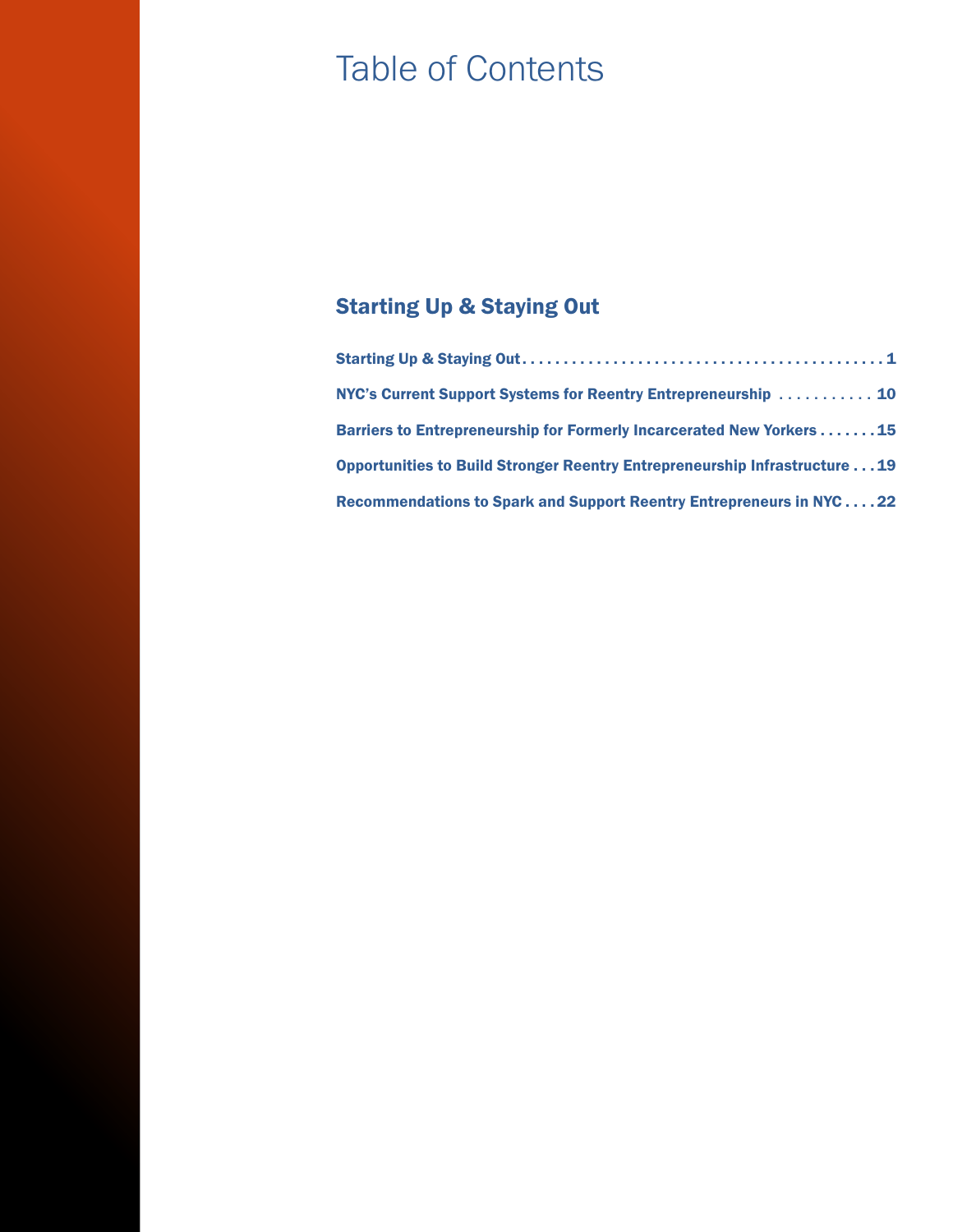## Table of Contents

#### Starting Up & Staying Out

| NYC's Current Support Systems for Reentry Entrepreneurship  10               |  |
|------------------------------------------------------------------------------|--|
| <b>Barriers to Entrepreneurship for Formerly Incarcerated New Yorkers 15</b> |  |
| Opportunities to Build Stronger Reentry Entrepreneurship Infrastructure 19   |  |
| Recommendations to Spark and Support Reentry Entrepreneurs in NYC22          |  |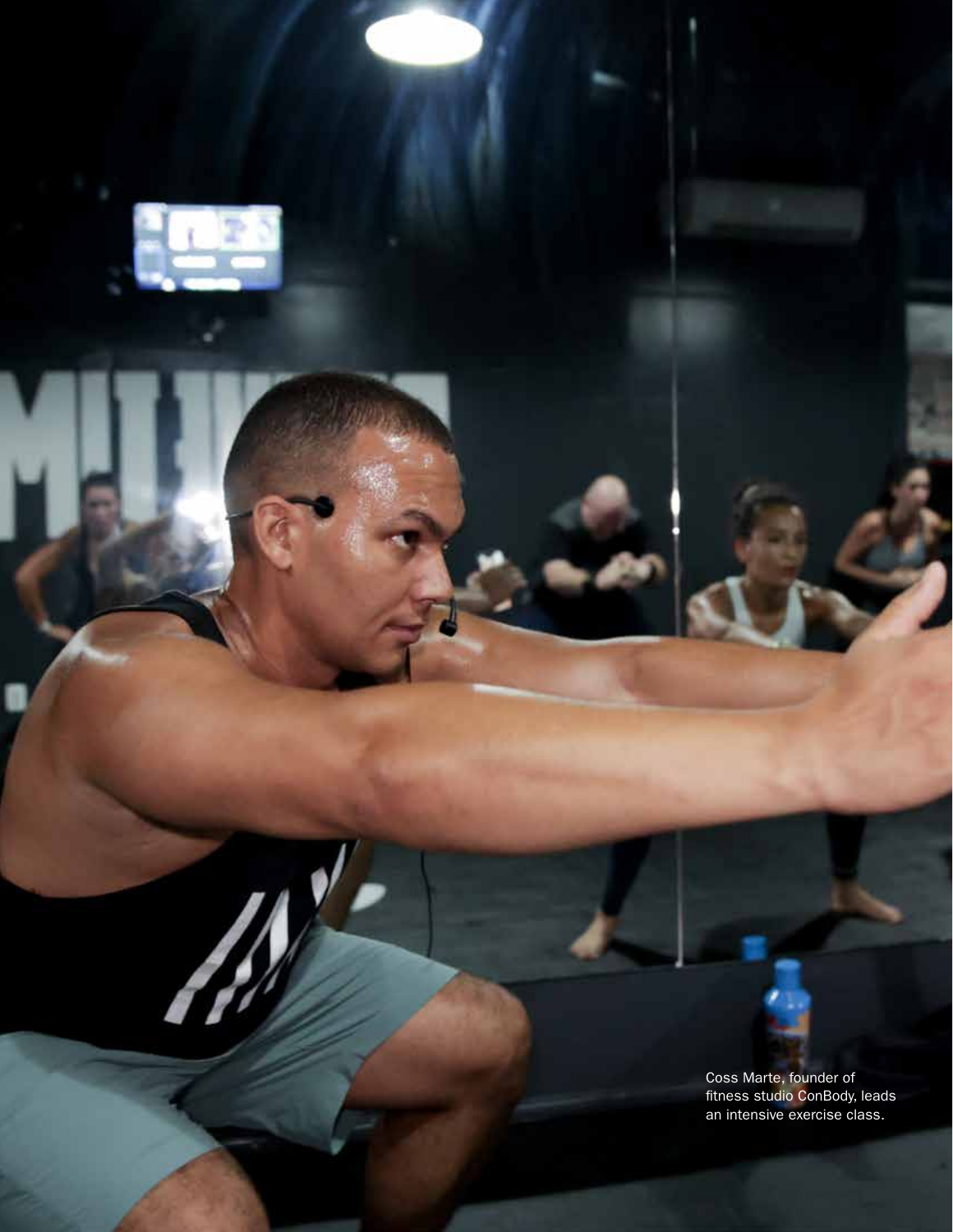

N

STARTING UP & STAYING OUT

Coss Marte, founder of fitness studio ConBody, leads an intensive exercise class.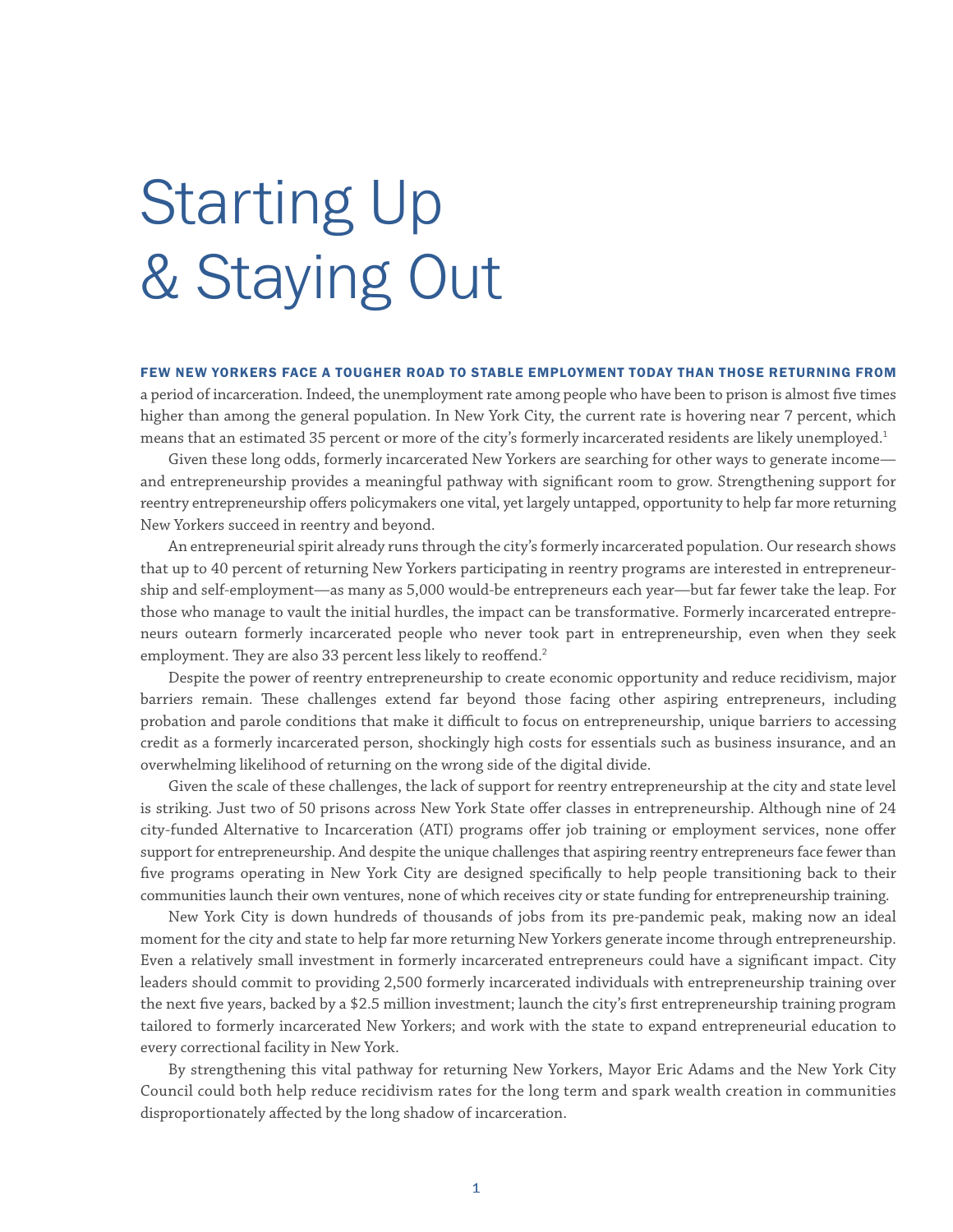## <span id="page-4-0"></span>Starting Up & Staying Out

#### FEW NEW YORKERS FACE A TOUGHER ROAD TO STABLE EMPLOYMENT TODAY THAN THOSE RETURNING FROM

a period of incarceration. Indeed, the unemployment rate among people who have been to prison is almost five times higher than among the general population. In New York City, the current rate is hovering near 7 percent, which means that an estimated 35 percent or more of the city's formerly incarcerated residents are likely unemployed.<sup>1</sup>

Given these long odds, formerly incarcerated New Yorkers are searching for other ways to generate income and entrepreneurship provides a meaningful pathway with significant room to grow. Strengthening support for reentry entrepreneurship offers policymakers one vital, yet largely untapped, opportunity to help far more returning New Yorkers succeed in reentry and beyond.

An entrepreneurial spirit already runs through the city's formerly incarcerated population. Our research shows that up to 40 percent of returning New Yorkers participating in reentry programs are interested in entrepreneurship and self-employment—as many as 5,000 would-be entrepreneurs each year—but far fewer take the leap. For those who manage to vault the initial hurdles, the impact can be transformative. Formerly incarcerated entrepreneurs outearn formerly incarcerated people who never took part in entrepreneurship, even when they seek employment. They are also 33 percent less likely to reoffend.<sup>2</sup>

Despite the power of reentry entrepreneurship to create economic opportunity and reduce recidivism, major barriers remain. These challenges extend far beyond those facing other aspiring entrepreneurs, including probation and parole conditions that make it difficult to focus on entrepreneurship, unique barriers to accessing credit as a formerly incarcerated person, shockingly high costs for essentials such as business insurance, and an overwhelming likelihood of returning on the wrong side of the digital divide.

Given the scale of these challenges, the lack of support for reentry entrepreneurship at the city and state level is striking. Just two of 50 prisons across New York State offer classes in entrepreneurship. Although nine of 24 city-funded Alternative to Incarceration (ATI) programs offer job training or employment services, none offer support for entrepreneurship. And despite the unique challenges that aspiring reentry entrepreneurs face fewer than five programs operating in New York City are designed specifically to help people transitioning back to their communities launch their own ventures, none of which receives city or state funding for entrepreneurship training.

New York City is down hundreds of thousands of jobs from its pre-pandemic peak, making now an ideal moment for the city and state to help far more returning New Yorkers generate income through entrepreneurship. Even a relatively small investment in formerly incarcerated entrepreneurs could have a significant impact. City leaders should commit to providing 2,500 formerly incarcerated individuals with entrepreneurship training over the next five years, backed by a \$2.5 million investment; launch the city's first entrepreneurship training program tailored to formerly incarcerated New Yorkers; and work with the state to expand entrepreneurial education to every correctional facility in New York.

By strengthening this vital pathway for returning New Yorkers, Mayor Eric Adams and the New York City Council could both help reduce recidivism rates for the long term and spark wealth creation in communities disproportionately affected by the long shadow of incarceration.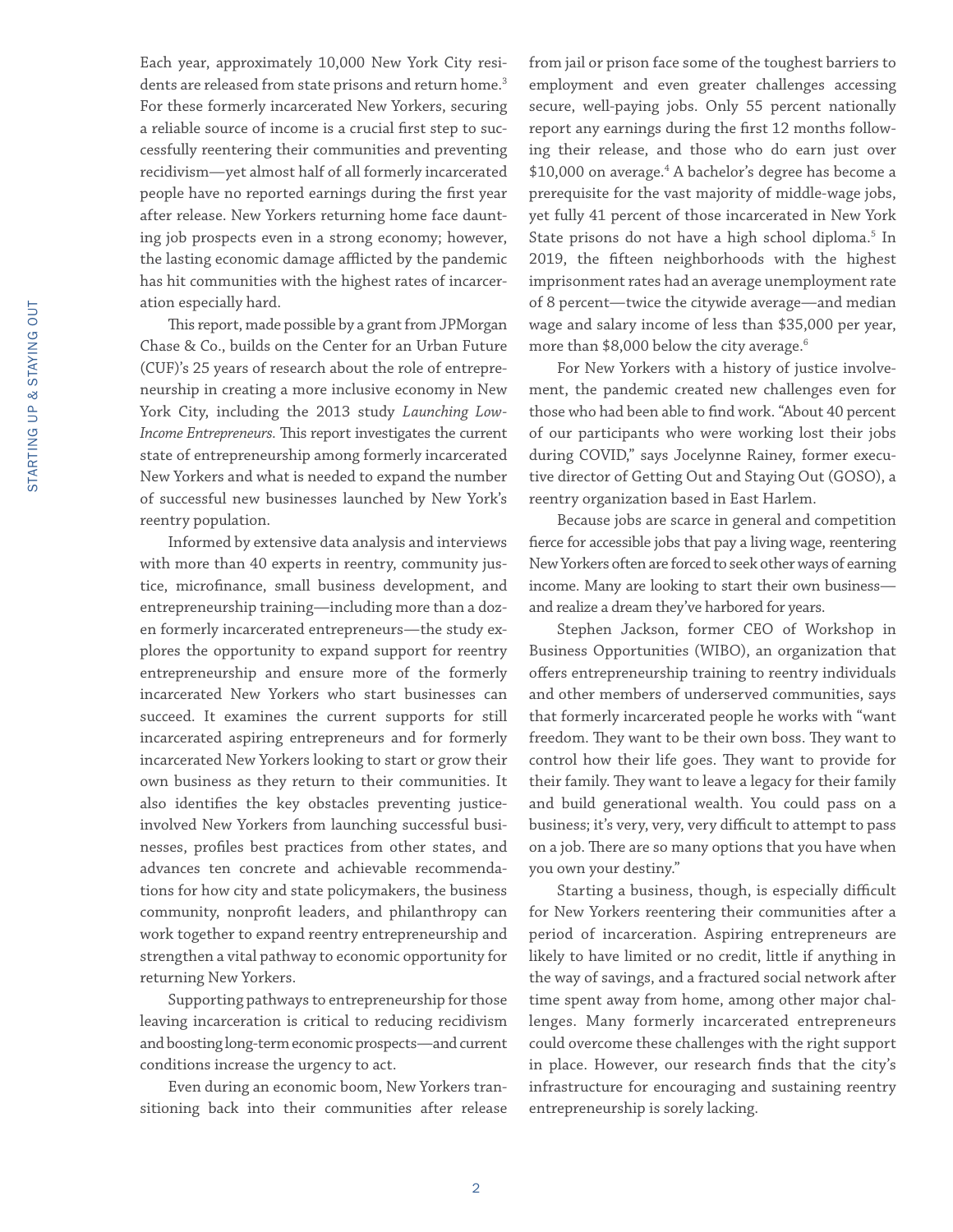Each year, approximately 10,000 New York City residents are released from state prisons and return home.<sup>3</sup> For these formerly incarcerated New Yorkers, securing a reliable source of income is a crucial first step to successfully reentering their communities and preventing recidivism—yet almost half of all formerly incarcerated people have no reported earnings during the first year after release. New Yorkers returning home face daunting job prospects even in a strong economy; however, the lasting economic damage afflicted by the pandemic has hit communities with the highest rates of incarceration especially hard.

This report, made possible by a grant from JPMorgan Chase & Co., builds on the Center for an Urban Future (CUF)'s 25 years of research about the role of entrepreneurship in creating a more inclusive economy in New York City, including the 2013 study *Launching Low-Income Entrepreneurs.* This report investigates the current state of entrepreneurship among formerly incarcerated New Yorkers and what is needed to expand the number of successful new businesses launched by New York's reentry population.

Informed by extensive data analysis and interviews with more than 40 experts in reentry, community justice, microfinance, small business development, and entrepreneurship training—including more than a dozen formerly incarcerated entrepreneurs—the study explores the opportunity to expand support for reentry entrepreneurship and ensure more of the formerly incarcerated New Yorkers who start businesses can succeed. It examines the current supports for still incarcerated aspiring entrepreneurs and for formerly incarcerated New Yorkers looking to start or grow their own business as they return to their communities. It also identifies the key obstacles preventing justiceinvolved New Yorkers from launching successful businesses, profiles best practices from other states, and advances ten concrete and achievable recommendations for how city and state policymakers, the business community, nonprofit leaders, and philanthropy can work together to expand reentry entrepreneurship and strengthen a vital pathway to economic opportunity for returning New Yorkers.

Supporting pathways to entrepreneurship for those leaving incarceration is critical to reducing recidivism and boosting long-term economic prospects—and current conditions increase the urgency to act.

Even during an economic boom, New Yorkers transitioning back into their communities after release from jail or prison face some of the toughest barriers to employment and even greater challenges accessing secure, well-paying jobs. Only 55 percent nationally report any earnings during the first 12 months following their release, and those who do earn just over \$10,000 on average.4 A bachelor's degree has become a prerequisite for the vast majority of middle-wage jobs, yet fully 41 percent of those incarcerated in New York State prisons do not have a high school diploma.<sup>5</sup> In 2019, the fifteen neighborhoods with the highest imprisonment rates had an average unemployment rate of 8 percent—twice the citywide average—and median wage and salary income of less than \$35,000 per year, more than \$8,000 below the city average.6

For New Yorkers with a history of justice involvement, the pandemic created new challenges even for those who had been able to find work. "About 40 percent of our participants who were working lost their jobs during COVID," says Jocelynne Rainey, former executive director of Getting Out and Staying Out (GOSO), a reentry organization based in East Harlem.

Because jobs are scarce in general and competition fierce for accessible jobs that pay a living wage, reentering New Yorkers often are forced to seek other ways of earning income. Many are looking to start their own business and realize a dream they've harbored for years.

Stephen Jackson, former CEO of Workshop in Business Opportunities (WIBO), an organization that offers entrepreneurship training to reentry individuals and other members of underserved communities, says that formerly incarcerated people he works with "want freedom. They want to be their own boss. They want to control how their life goes. They want to provide for their family. They want to leave a legacy for their family and build generational wealth. You could pass on a business; it's very, very, very difficult to attempt to pass on a job. There are so many options that you have when you own your destiny."

Starting a business, though, is especially difficult for New Yorkers reentering their communities after a period of incarceration. Aspiring entrepreneurs are likely to have limited or no credit, little if anything in the way of savings, and a fractured social network after time spent away from home, among other major challenges. Many formerly incarcerated entrepreneurs could overcome these challenges with the right support in place. However, our research finds that the city's infrastructure for encouraging and sustaining reentry entrepreneurship is sorely lacking.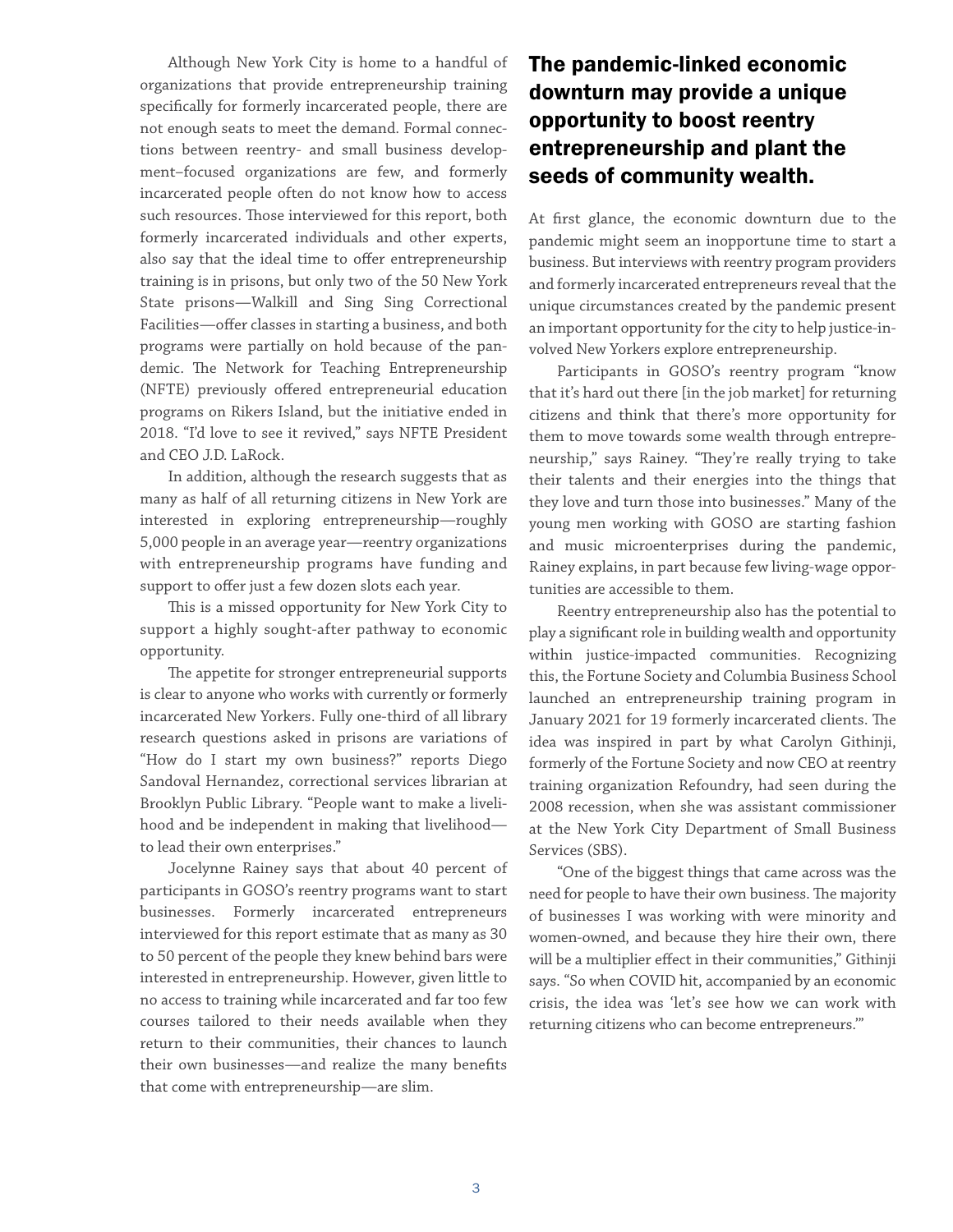Although New York City is home to a handful of organizations that provide entrepreneurship training specifically for formerly incarcerated people, there are not enough seats to meet the demand. Formal connections between reentry- and small business development–focused organizations are few, and formerly incarcerated people often do not know how to access such resources. Those interviewed for this report, both formerly incarcerated individuals and other experts, also say that the ideal time to offer entrepreneurship training is in prisons, but only two of the 50 New York State prisons—Walkill and Sing Sing Correctional Facilities—offer classes in starting a business, and both programs were partially on hold because of the pandemic. The Network for Teaching Entrepreneurship (NFTE) previously offered entrepreneurial education programs on Rikers Island, but the initiative ended in 2018. "I'd love to see it revived," says NFTE President and CEO J.D. LaRock.

In addition, although the research suggests that as many as half of all returning citizens in New York are interested in exploring entrepreneurship—roughly 5,000 people in an average year—reentry organizations with entrepreneurship programs have funding and support to offer just a few dozen slots each year.

This is a missed opportunity for New York City to support a highly sought-after pathway to economic opportunity.

The appetite for stronger entrepreneurial supports is clear to anyone who works with currently or formerly incarcerated New Yorkers. Fully one-third of all library research questions asked in prisons are variations of "How do I start my own business?" reports Diego Sandoval Hernandez, correctional services librarian at Brooklyn Public Library. "People want to make a livelihood and be independent in making that livelihood to lead their own enterprises."

Jocelynne Rainey says that about 40 percent of participants in GOSO's reentry programs want to start businesses. Formerly incarcerated entrepreneurs interviewed for this report estimate that as many as 30 to 50 percent of the people they knew behind bars were interested in entrepreneurship. However, given little to no access to training while incarcerated and far too few courses tailored to their needs available when they return to their communities, their chances to launch their own businesses—and realize the many benefits that come with entrepreneurship—are slim.

#### The pandemic-linked economic downturn may provide a unique opportunity to boost reentry entrepreneurship and plant the seeds of community wealth.

At first glance, the economic downturn due to the pandemic might seem an inopportune time to start a business. But interviews with reentry program providers and formerly incarcerated entrepreneurs reveal that the unique circumstances created by the pandemic present an important opportunity for the city to help justice-involved New Yorkers explore entrepreneurship.

Participants in GOSO's reentry program "know that it's hard out there [in the job market] for returning citizens and think that there's more opportunity for them to move towards some wealth through entrepreneurship," says Rainey. "They're really trying to take their talents and their energies into the things that they love and turn those into businesses." Many of the young men working with GOSO are starting fashion and music microenterprises during the pandemic, Rainey explains, in part because few living-wage opportunities are accessible to them.

Reentry entrepreneurship also has the potential to play a significant role in building wealth and opportunity within justice-impacted communities. Recognizing this, the Fortune Society and Columbia Business School launched an entrepreneurship training program in January 2021 for 19 formerly incarcerated clients. The idea was inspired in part by what Carolyn Githinji, formerly of the Fortune Society and now CEO at reentry training organization Refoundry, had seen during the 2008 recession, when she was assistant commissioner at the New York City Department of Small Business Services (SBS).

"One of the biggest things that came across was the need for people to have their own business. The majority of businesses I was working with were minority and women-owned, and because they hire their own, there will be a multiplier effect in their communities," Githinji says. "So when COVID hit, accompanied by an economic crisis, the idea was 'let's see how we can work with returning citizens who can become entrepreneurs.'"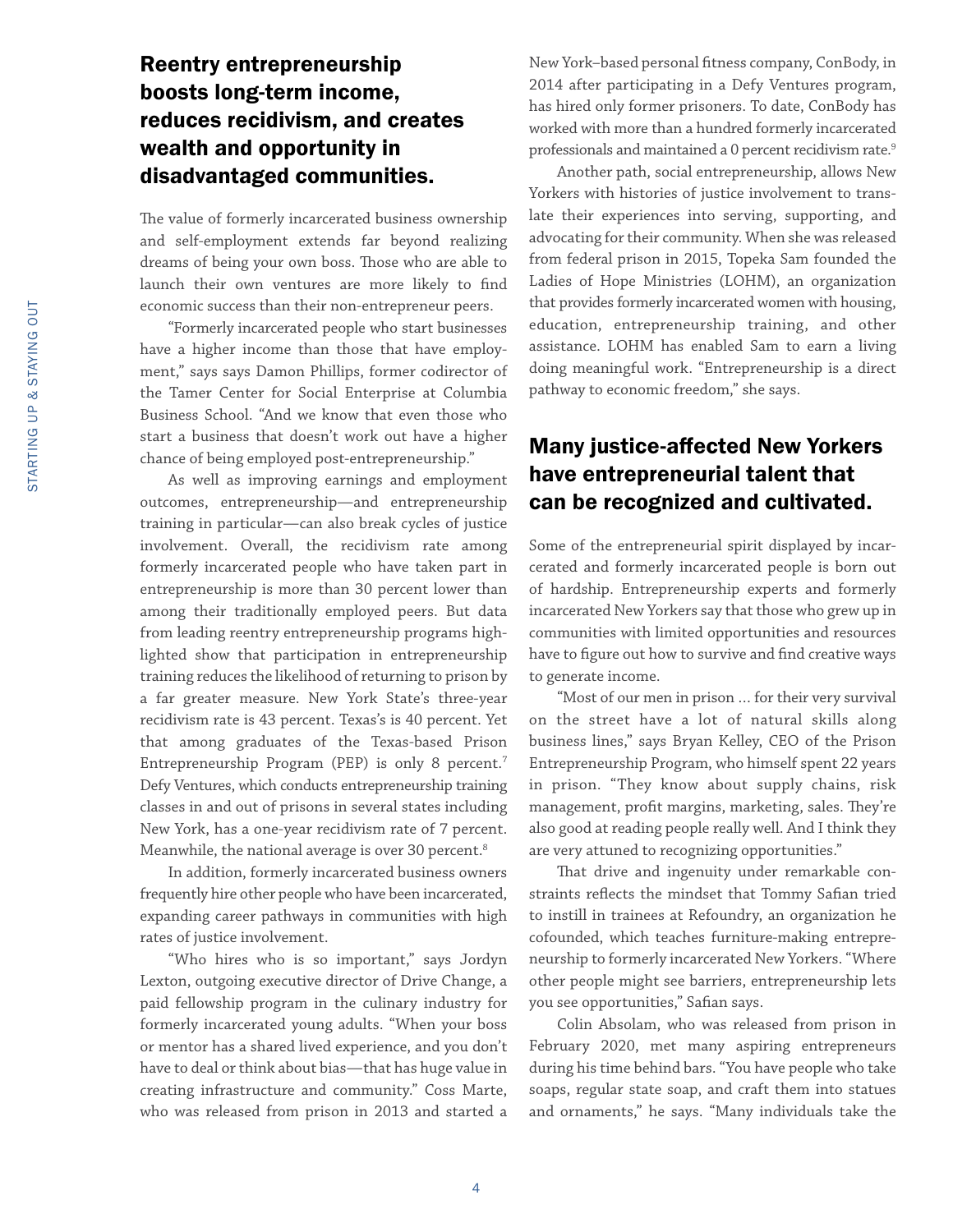#### Reentry entrepreneurship boosts long-term income, reduces recidivism, and creates wealth and opportunity in disadvantaged communities.

The value of formerly incarcerated business ownership and self-employment extends far beyond realizing dreams of being your own boss. Those who are able to launch their own ventures are more likely to find economic success than their non-entrepreneur peers.

"Formerly incarcerated people who start businesses have a higher income than those that have employment," says says Damon Phillips, former codirector of the Tamer Center for Social Enterprise at Columbia Business School. "And we know that even those who start a business that doesn't work out have a higher chance of being employed post-entrepreneurship."

As well as improving earnings and employment outcomes, entrepreneurship—and entrepreneurship training in particular—can also break cycles of justice involvement. Overall, the recidivism rate among formerly incarcerated people who have taken part in entrepreneurship is more than 30 percent lower than among their traditionally employed peers. But data from leading reentry entrepreneurship programs highlighted show that participation in entrepreneurship training reduces the likelihood of returning to prison by a far greater measure. New York State's three-year recidivism rate is 43 percent. Texas's is 40 percent. Yet that among graduates of the Texas-based Prison Entrepreneurship Program (PEP) is only 8 percent.7 Defy Ventures, which conducts entrepreneurship training classes in and out of prisons in several states including New York, has a one-year recidivism rate of 7 percent. Meanwhile, the national average is over 30 percent.<sup>8</sup>

In addition, formerly incarcerated business owners frequently hire other people who have been incarcerated, expanding career pathways in communities with high rates of justice involvement.

"Who hires who is so important," says Jordyn Lexton, outgoing executive director of Drive Change, a paid fellowship program in the culinary industry for formerly incarcerated young adults. "When your boss or mentor has a shared lived experience, and you don't have to deal or think about bias—that has huge value in creating infrastructure and community." Coss Marte, who was released from prison in 2013 and started a

New York–based personal fitness company, ConBody, in 2014 after participating in a Defy Ventures program, has hired only former prisoners. To date, ConBody has worked with more than a hundred formerly incarcerated professionals and maintained a 0 percent recidivism rate.<sup>9</sup>

Another path, social entrepreneurship, allows New Yorkers with histories of justice involvement to translate their experiences into serving, supporting, and advocating for their community. When she was released from federal prison in 2015, Topeka Sam founded the Ladies of Hope Ministries (LOHM), an organization that provides formerly incarcerated women with housing, education, entrepreneurship training, and other assistance. LOHM has enabled Sam to earn a living doing meaningful work. "Entrepreneurship is a direct pathway to economic freedom," she says.

#### Many justice-affected New Yorkers have entrepreneurial talent that can be recognized and cultivated.

Some of the entrepreneurial spirit displayed by incarcerated and formerly incarcerated people is born out of hardship. Entrepreneurship experts and formerly incarcerated New Yorkers say that those who grew up in communities with limited opportunities and resources have to figure out how to survive and find creative ways to generate income.

"Most of our men in prison … for their very survival on the street have a lot of natural skills along business lines," says Bryan Kelley, CEO of the Prison Entrepreneurship Program, who himself spent 22 years in prison. "They know about supply chains, risk management, profit margins, marketing, sales. They're also good at reading people really well. And I think they are very attuned to recognizing opportunities."

That drive and ingenuity under remarkable constraints reflects the mindset that Tommy Safian tried to instill in trainees at Refoundry, an organization he cofounded, which teaches furniture-making entrepreneurship to formerly incarcerated New Yorkers. "Where other people might see barriers, entrepreneurship lets you see opportunities," Safian says.

Colin Absolam, who was released from prison in February 2020, met many aspiring entrepreneurs during his time behind bars. "You have people who take soaps, regular state soap, and craft them into statues and ornaments," he says. "Many individuals take the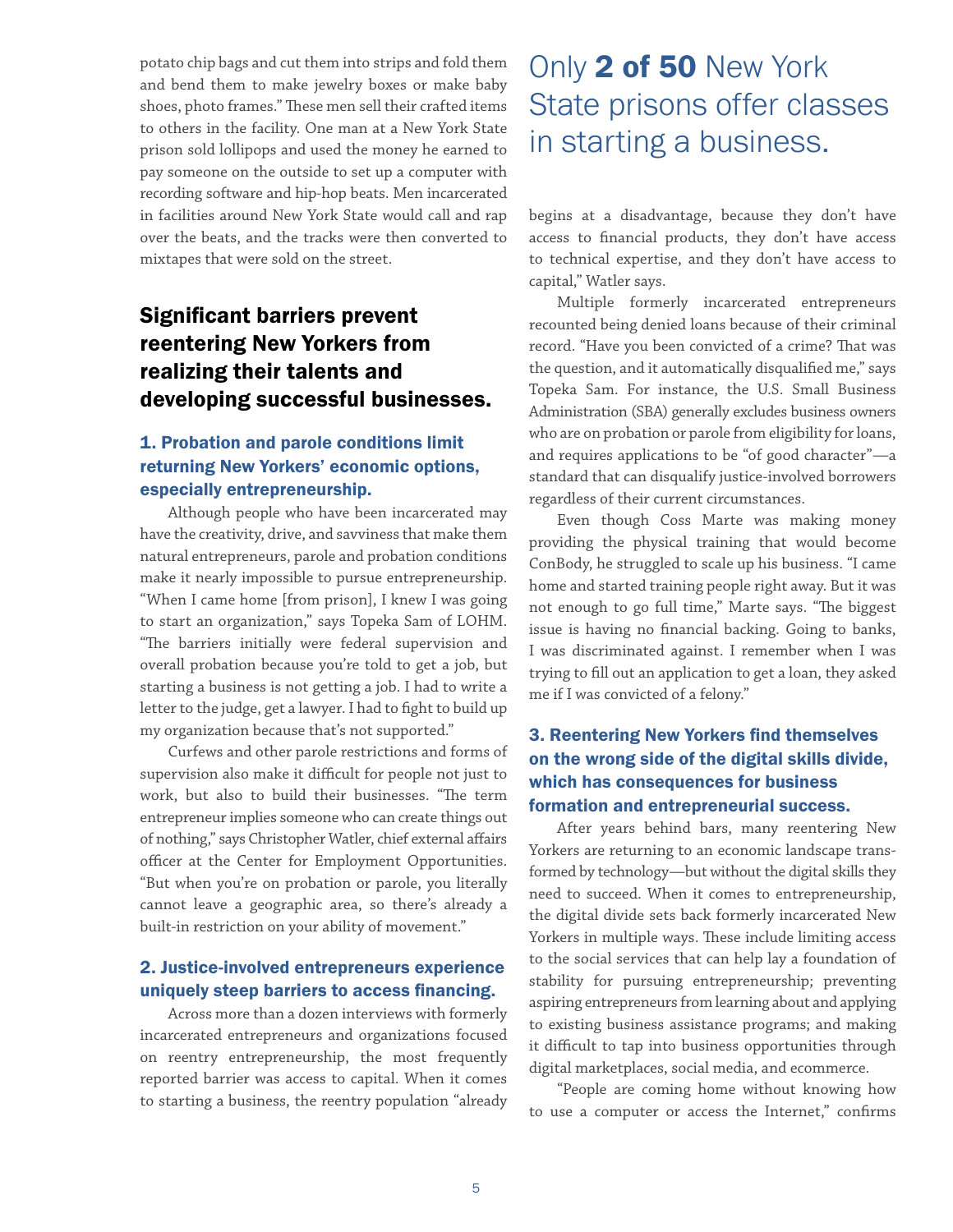potato chip bags and cut them into strips and fold them and bend them to make jewelry boxes or make baby shoes, photo frames." These men sell their crafted items to others in the facility. One man at a New York State prison sold lollipops and used the money he earned to pay someone on the outside to set up a computer with recording software and hip-hop beats. Men incarcerated in facilities around New York State would call and rap over the beats, and the tracks were then converted to mixtapes that were sold on the street.

#### Significant barriers prevent reentering New Yorkers from realizing their talents and developing successful businesses.

#### 1. Probation and parole conditions limit returning New Yorkers' economic options, especially entrepreneurship.

Although people who have been incarcerated may have the creativity, drive, and savviness that make them natural entrepreneurs, parole and probation conditions make it nearly impossible to pursue entrepreneurship. "When I came home [from prison], I knew I was going to start an organization," says Topeka Sam of LOHM. "The barriers initially were federal supervision and overall probation because you're told to get a job, but starting a business is not getting a job. I had to write a letter to the judge, get a lawyer. I had to fight to build up my organization because that's not supported."

Curfews and other parole restrictions and forms of supervision also make it difficult for people not just to work, but also to build their businesses. "The term entrepreneur implies someone who can create things out of nothing," says Christopher Watler, chief external affairs officer at the Center for Employment Opportunities. "But when you're on probation or parole, you literally cannot leave a geographic area, so there's already a built-in restriction on your ability of movement."

#### 2. Justice-involved entrepreneurs experience uniquely steep barriers to access financing.

Across more than a dozen interviews with formerly incarcerated entrepreneurs and organizations focused on reentry entrepreneurship, the most frequently reported barrier was access to capital. When it comes to starting a business, the reentry population "already

### Only 2 of 50 New York State prisons offer classes in starting a business.

begins at a disadvantage, because they don't have access to financial products, they don't have access to technical expertise, and they don't have access to capital," Watler says.

Multiple formerly incarcerated entrepreneurs recounted being denied loans because of their criminal record. "Have you been convicted of a crime? That was the question, and it automatically disqualified me," says Topeka Sam. For instance, the U.S. Small Business Administration (SBA) generally excludes business owners who are on probation or parole from eligibility for loans, and requires applications to be "of good character"—a standard that can disqualify justice-involved borrowers regardless of their current circumstances.

Even though Coss Marte was making money providing the physical training that would become ConBody, he struggled to scale up his business. "I came home and started training people right away. But it was not enough to go full time," Marte says. "The biggest issue is having no financial backing. Going to banks, I was discriminated against. I remember when I was trying to fill out an application to get a loan, they asked me if I was convicted of a felony."

#### 3. Reentering New Yorkers find themselves on the wrong side of the digital skills divide, which has consequences for business formation and entrepreneurial success.

After years behind bars, many reentering New Yorkers are returning to an economic landscape transformed by technology—but without the digital skills they need to succeed. When it comes to entrepreneurship, the digital divide sets back formerly incarcerated New Yorkers in multiple ways. These include limiting access to the social services that can help lay a foundation of stability for pursuing entrepreneurship; preventing aspiring entrepreneurs from learning about and applying to existing business assistance programs; and making it difficult to tap into business opportunities through digital marketplaces, social media, and ecommerce.

"People are coming home without knowing how to use a computer or access the Internet," confirms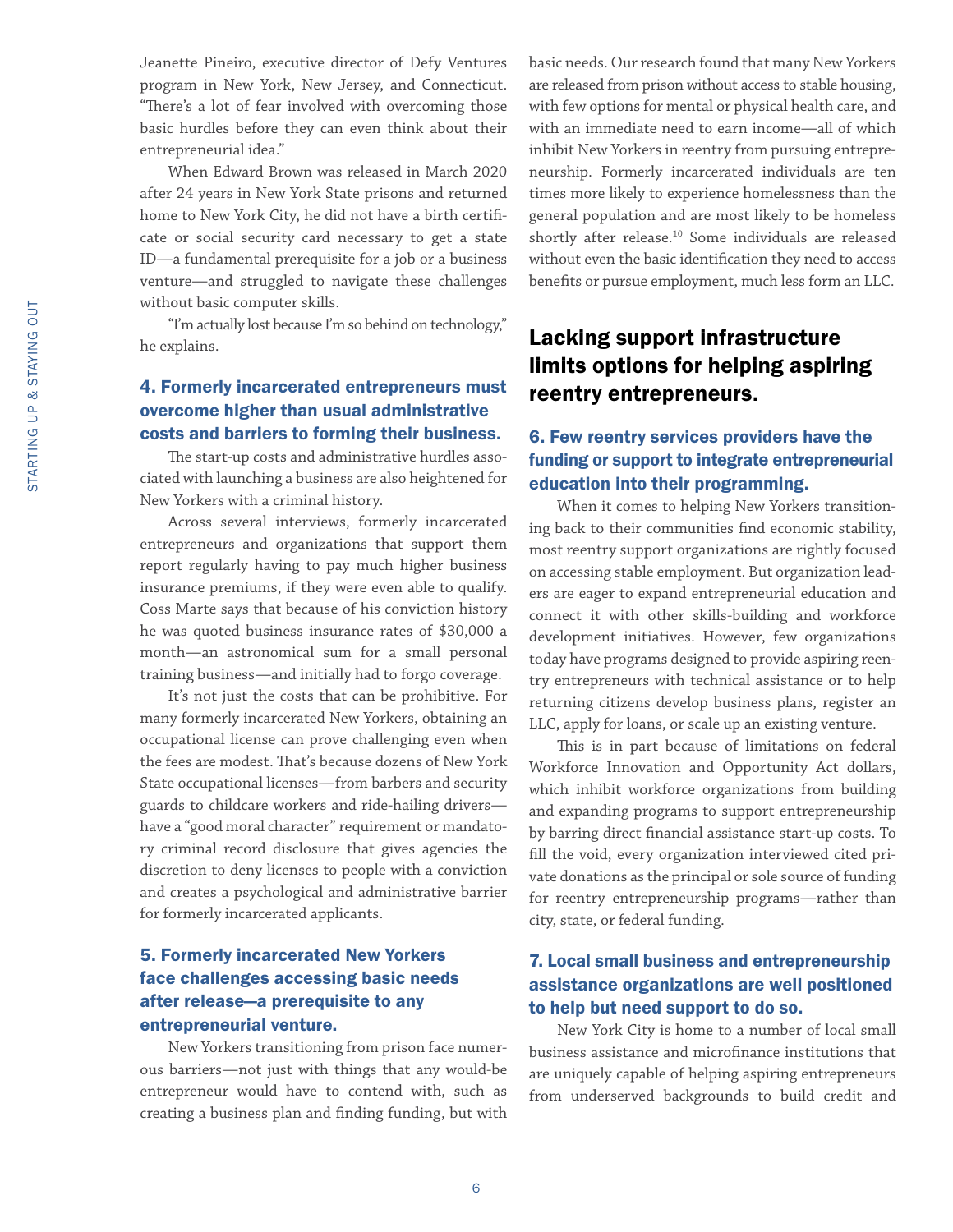Jeanette Pineiro, executive director of Defy Ventures program in New York, New Jersey, and Connecticut. "There's a lot of fear involved with overcoming those basic hurdles before they can even think about their entrepreneurial idea."

When Edward Brown was released in March 2020 after 24 years in New York State prisons and returned home to New York City, he did not have a birth certificate or social security card necessary to get a state ID—a fundamental prerequisite for a job or a business venture—and struggled to navigate these challenges without basic computer skills.

"I'm actually lost because I'm so behind on technology," he explains.

#### 4. Formerly incarcerated entrepreneurs must overcome higher than usual administrative costs and barriers to forming their business.

The start-up costs and administrative hurdles associated with launching a business are also heightened for New Yorkers with a criminal history.

Across several interviews, formerly incarcerated entrepreneurs and organizations that support them report regularly having to pay much higher business insurance premiums, if they were even able to qualify. Coss Marte says that because of his conviction history he was quoted business insurance rates of \$30,000 a month—an astronomical sum for a small personal training business—and initially had to forgo coverage.

It's not just the costs that can be prohibitive. For many formerly incarcerated New Yorkers, obtaining an occupational license can prove challenging even when the fees are modest. That's because dozens of New York State occupational licenses—from barbers and security guards to childcare workers and ride-hailing drivers have a "good moral character" requirement or mandatory criminal record disclosure that gives agencies the discretion to deny licenses to people with a conviction and creates a psychological and administrative barrier for formerly incarcerated applicants.

#### 5. Formerly incarcerated New Yorkers face challenges accessing basic needs after release—a prerequisite to any entrepreneurial venture.

New Yorkers transitioning from prison face numerous barriers—not just with things that any would-be entrepreneur would have to contend with, such as creating a business plan and finding funding, but with

basic needs. Our research found that many New Yorkers are released from prison without access to stable housing, with few options for mental or physical health care, and with an immediate need to earn income—all of which inhibit New Yorkers in reentry from pursuing entrepreneurship. Formerly incarcerated individuals are ten times more likely to experience homelessness than the general population and are most likely to be homeless shortly after release.10 Some individuals are released without even the basic identification they need to access benefits or pursue employment, much less form an LLC.

#### Lacking support infrastructure limits options for helping aspiring reentry entrepreneurs.

#### 6. Few reentry services providers have the funding or support to integrate entrepreneurial education into their programming.

When it comes to helping New Yorkers transitioning back to their communities find economic stability, most reentry support organizations are rightly focused on accessing stable employment. But organization leaders are eager to expand entrepreneurial education and connect it with other skills-building and workforce development initiatives. However, few organizations today have programs designed to provide aspiring reentry entrepreneurs with technical assistance or to help returning citizens develop business plans, register an LLC, apply for loans, or scale up an existing venture.

This is in part because of limitations on federal Workforce Innovation and Opportunity Act dollars, which inhibit workforce organizations from building and expanding programs to support entrepreneurship by barring direct financial assistance start-up costs. To fill the void, every organization interviewed cited private donations as the principal or sole source of funding for reentry entrepreneurship programs—rather than city, state, or federal funding.

#### 7. Local small business and entrepreneurship assistance organizations are well positioned to help but need support to do so.

New York City is home to a number of local small business assistance and microfinance institutions that are uniquely capable of helping aspiring entrepreneurs from underserved backgrounds to build credit and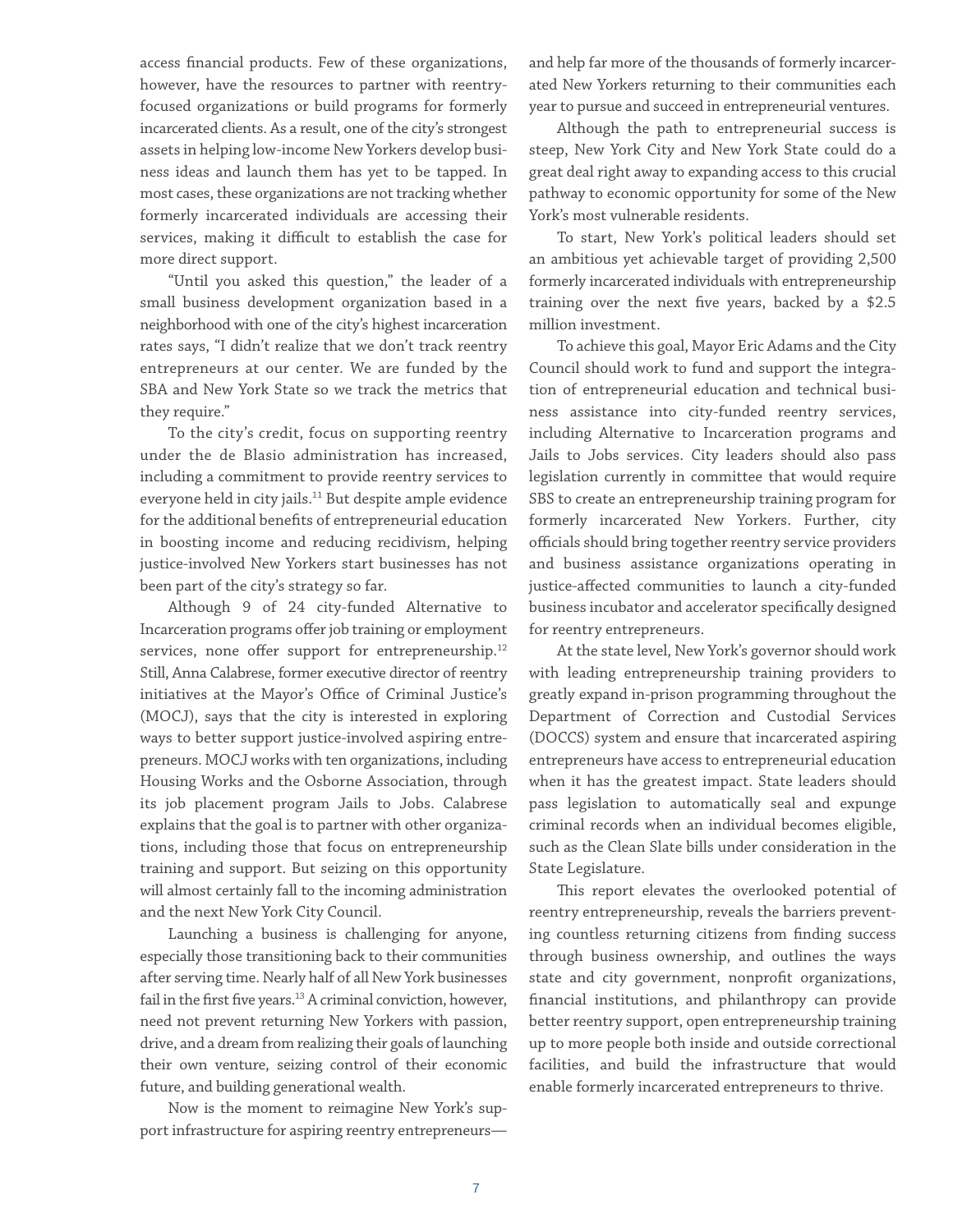access financial products. Few of these organizations, however, have the resources to partner with reentryfocused organizations or build programs for formerly incarcerated clients. As a result, one of the city's strongest assets in helping low-income New Yorkers develop business ideas and launch them has yet to be tapped. In most cases, these organizations are not tracking whether formerly incarcerated individuals are accessing their services, making it difficult to establish the case for more direct support.

"Until you asked this question," the leader of a small business development organization based in a neighborhood with one of the city's highest incarceration rates says, "I didn't realize that we don't track reentry entrepreneurs at our center. We are funded by the SBA and New York State so we track the metrics that they require."

To the city's credit, focus on supporting reentry under the de Blasio administration has increased, including a commitment to provide reentry services to everyone held in city jails.<sup>11</sup> But despite ample evidence for the additional benefits of entrepreneurial education in boosting income and reducing recidivism, helping justice-involved New Yorkers start businesses has not been part of the city's strategy so far.

Although 9 of 24 city-funded Alternative to Incarceration programs offer job training or employment services, none offer support for entrepreneurship.<sup>12</sup> Still, Anna Calabrese, former executive director of reentry initiatives at the Mayor's Office of Criminal Justice's (MOCJ), says that the city is interested in exploring ways to better support justice-involved aspiring entrepreneurs. MOCJ works with ten organizations, including Housing Works and the Osborne Association, through its job placement program Jails to Jobs. Calabrese explains that the goal is to partner with other organizations, including those that focus on entrepreneurship training and support. But seizing on this opportunity will almost certainly fall to the incoming administration and the next New York City Council.

Launching a business is challenging for anyone, especially those transitioning back to their communities after serving time. Nearly half of all New York businesses fail in the first five years.<sup>13</sup> A criminal conviction, however, need not prevent returning New Yorkers with passion, drive, and a dream from realizing their goals of launching their own venture, seizing control of their economic future, and building generational wealth.

Now is the moment to reimagine New York's support infrastructure for aspiring reentry entrepreneursand help far more of the thousands of formerly incarcerated New Yorkers returning to their communities each year to pursue and succeed in entrepreneurial ventures.

Although the path to entrepreneurial success is steep, New York City and New York State could do a great deal right away to expanding access to this crucial pathway to economic opportunity for some of the New York's most vulnerable residents.

To start, New York's political leaders should set an ambitious yet achievable target of providing 2,500 formerly incarcerated individuals with entrepreneurship training over the next five years, backed by a \$2.5 million investment.

To achieve this goal, Mayor Eric Adams and the City Council should work to fund and support the integration of entrepreneurial education and technical business assistance into city-funded reentry services, including Alternative to Incarceration programs and Jails to Jobs services. City leaders should also pass legislation currently in committee that would require SBS to create an entrepreneurship training program for formerly incarcerated New Yorkers. Further, city officials should bring together reentry service providers and business assistance organizations operating in justice-affected communities to launch a city-funded business incubator and accelerator specifically designed for reentry entrepreneurs.

At the state level, New York's governor should work with leading entrepreneurship training providers to greatly expand in-prison programming throughout the Department of Correction and Custodial Services (DOCCS) system and ensure that incarcerated aspiring entrepreneurs have access to entrepreneurial education when it has the greatest impact. State leaders should pass legislation to automatically seal and expunge criminal records when an individual becomes eligible, such as the Clean Slate bills under consideration in the State Legislature.

This report elevates the overlooked potential of reentry entrepreneurship, reveals the barriers preventing countless returning citizens from finding success through business ownership, and outlines the ways state and city government, nonprofit organizations, financial institutions, and philanthropy can provide better reentry support, open entrepreneurship training up to more people both inside and outside correctional facilities, and build the infrastructure that would enable formerly incarcerated entrepreneurs to thrive.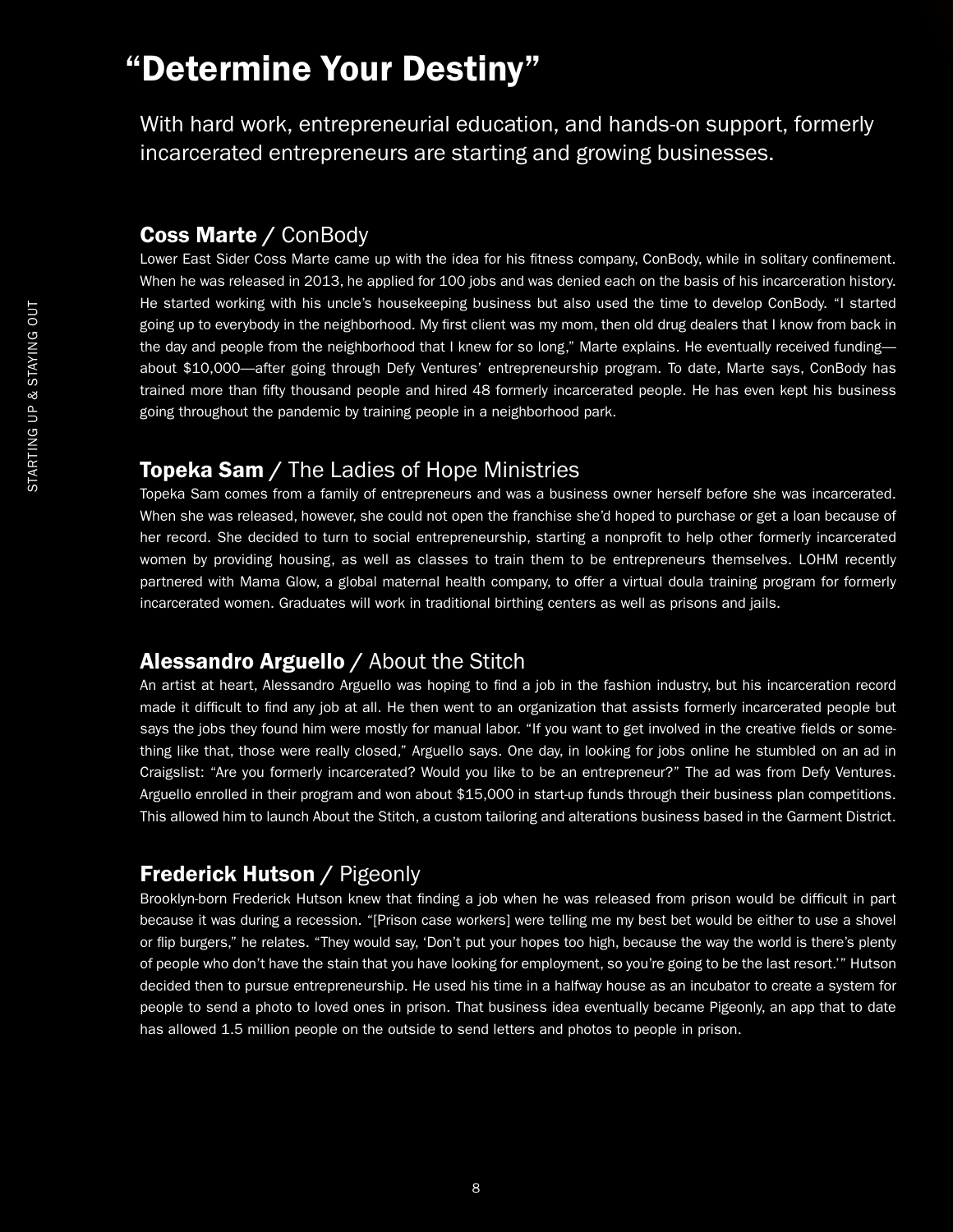## "Determine Your Destiny"

With hard work, entrepreneurial education, and hands-on support, formerly incarcerated entrepreneurs are starting and growing businesses.

#### Coss Marte / ConBody

Lower East Sider Coss Marte came up with the idea for his fitness company, ConBody, while in solitary confinement. When he was released in 2013, he applied for 100 jobs and was denied each on the basis of his incarceration history. He started working with his uncle's housekeeping business but also used the time to develop ConBody. "I started going up to everybody in the neighborhood. My first client was my mom, then old drug dealers that I know from back in the day and people from the neighborhood that I knew for so long," Marte explains. He eventually received funding about \$10,000—after going through Defy Ventures' entrepreneurship program. To date, Marte says, ConBody has trained more than fifty thousand people and hired 48 formerly incarcerated people. He has even kept his business going throughout the pandemic by training people in a neighborhood park.

#### **Topeka Sam** / The Ladies of Hope Ministries

Topeka Sam comes from a family of entrepreneurs and was a business owner herself before she was incarcerated. When she was released, however, she could not open the franchise she'd hoped to purchase or get a loan because of her record. She decided to turn to social entrepreneurship, starting a nonprofit to help other formerly incarcerated women by providing housing, as well as classes to train them to be entrepreneurs themselves. LOHM recently partnered with Mama Glow, a global maternal health company, to offer a virtual doula training program for formerly incarcerated women. Graduates will work in traditional birthing centers as well as prisons and jails.

#### Alessandro Arguello / About the Stitch

An artist at heart, Alessandro Arguello was hoping to find a job in the fashion industry, but his incarceration record made it difficult to find any job at all. He then went to an organization that assists formerly incarcerated people but says the jobs they found him were mostly for manual labor. "If you want to get involved in the creative fields or something like that, those were really closed," Arguello says. One day, in looking for jobs online he stumbled on an ad in Craigslist: "Are you formerly incarcerated? Would you like to be an entrepreneur?" The ad was from Defy Ventures. Arguello enrolled in their program and won about \$15,000 in start-up funds through their business plan competitions. This allowed him to launch About the Stitch, a custom tailoring and alterations business based in the Garment District.

#### Frederick Hutson / Pigeonly

Brooklyn-born Frederick Hutson knew that finding a job when he was released from prison would be difficult in part because it was during a recession. "[Prison case workers] were telling me my best bet would be either to use a shovel or flip burgers," he relates. "They would say, 'Don't put your hopes too high, because the way the world is there's plenty of people who don't have the stain that you have looking for employment, so you're going to be the last resort.'" Hutson decided then to pursue entrepreneurship. He used his time in a halfway house as an incubator to create a system for people to send a photo to loved ones in prison. That business idea eventually became Pigeonly, an app that to date has allowed 1.5 million people on the outside to send letters and photos to people in prison.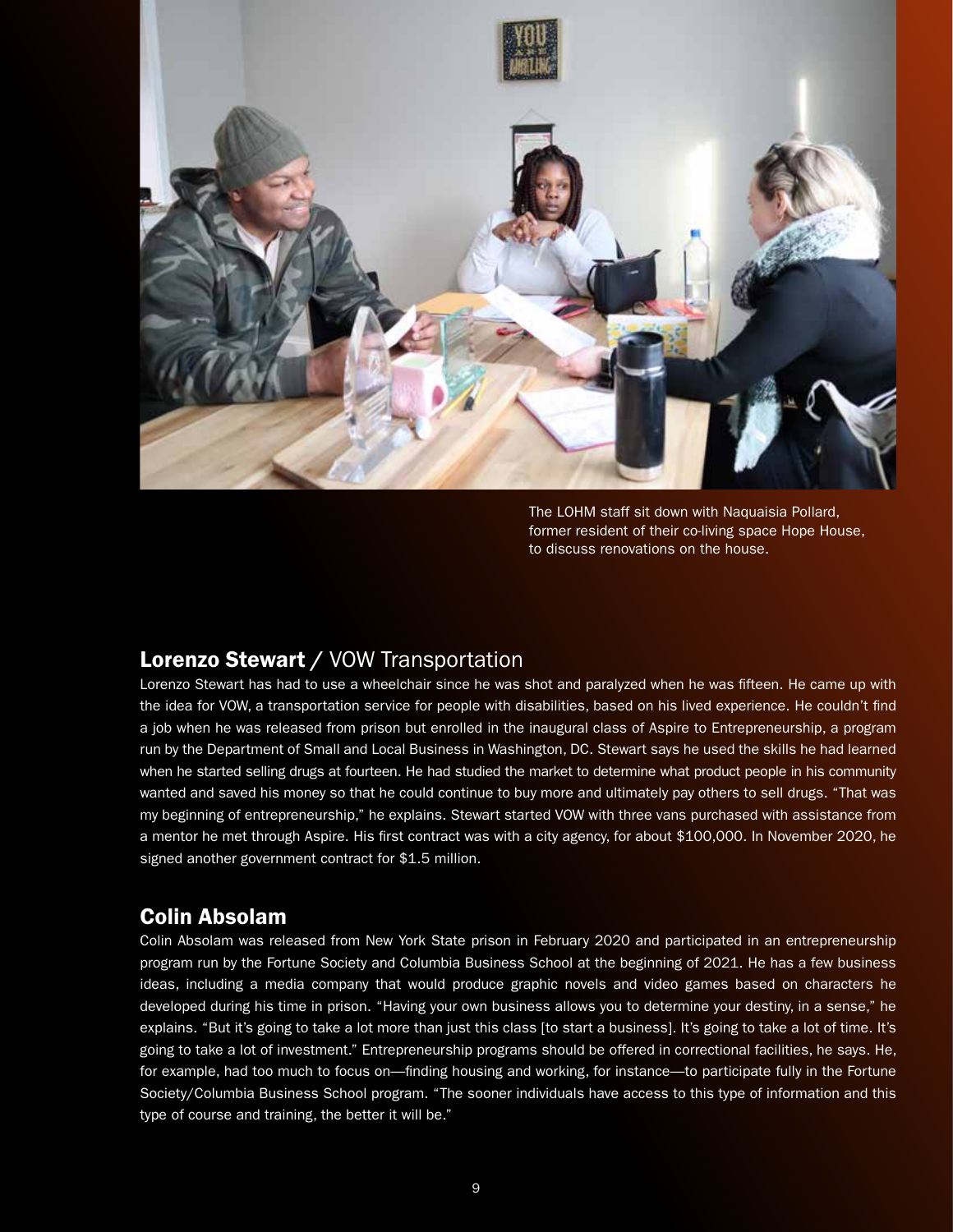

The LOHM staff sit down with Naquaisia Pollard, former resident of their co-living space Hope House, to discuss renovations on the house.

#### Lorenzo Stewart / VOW Transportation

Lorenzo Stewart has had to use a wheelchair since he was shot and paralyzed when he was fifteen. He came up with the idea for VOW, a transportation service for people with disabilities, based on his lived experience. He couldn't find a job when he was released from prison but enrolled in the inaugural class of Aspire to Entrepreneurship, a program run by the Department of Small and Local Business in Washington, DC. Stewart says he used the skills he had learned when he started selling drugs at fourteen. He had studied the market to determine what product people in his community wanted and saved his money so that he could continue to buy more and ultimately pay others to sell drugs. "That was my beginning of entrepreneurship," he explains. Stewart started VOW with three vans purchased with assistance from a mentor he met through Aspire. His first contract was with a city agency, for about \$100,000. In November 2020, he signed another government contract for \$1.5 million.

#### Colin Absolam

Colin Absolam was released from New York State prison in February 2020 and participated in an entrepreneurship program run by the Fortune Society and Columbia Business School at the beginning of 2021. He has a few business ideas, including a media company that would produce graphic novels and video games based on characters he developed during his time in prison. "Having your own business allows you to determine your destiny, in a sense," he explains. "But it's going to take a lot more than just this class [to start a business]. It's going to take a lot of time. It's going to take a lot of investment." Entrepreneurship programs should be offered in correctional facilities, he says. He, for example, had too much to focus on—finding housing and working, for instance—to participate fully in the Fortune Society/Columbia Business School program. "The sooner individuals have access to this type of information and this type of course and training, the better it will be."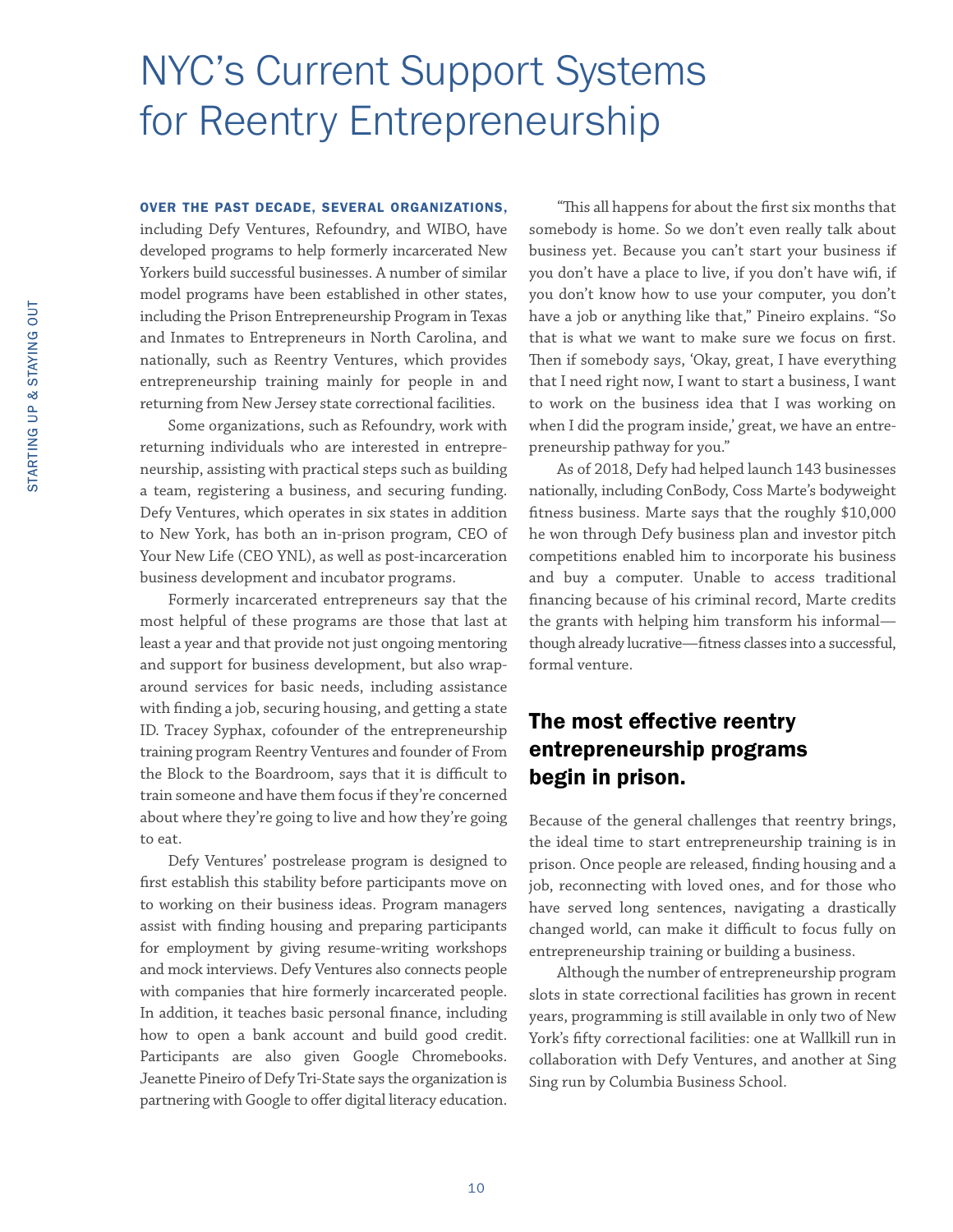## <span id="page-13-0"></span>NYC's Current Support Systems for Reentry Entrepreneurship

#### OVER THE PAST DECADE, SEVERAL ORGANIZATIONS,

including Defy Ventures, Refoundry, and WIBO, have developed programs to help formerly incarcerated New Yorkers build successful businesses. A number of similar model programs have been established in other states, including the Prison Entrepreneurship Program in Texas and Inmates to Entrepreneurs in North Carolina, and nationally, such as Reentry Ventures, which provides entrepreneurship training mainly for people in and returning from New Jersey state correctional facilities.

Some organizations, such as Refoundry, work with returning individuals who are interested in entrepreneurship, assisting with practical steps such as building a team, registering a business, and securing funding. Defy Ventures, which operates in six states in addition to New York, has both an in-prison program, CEO of Your New Life (CEO YNL), as well as post-incarceration business development and incubator programs.

Formerly incarcerated entrepreneurs say that the most helpful of these programs are those that last at least a year and that provide not just ongoing mentoring and support for business development, but also wraparound services for basic needs, including assistance with finding a job, securing housing, and getting a state ID. Tracey Syphax, cofounder of the entrepreneurship training program Reentry Ventures and founder of From the Block to the Boardroom, says that it is difficult to train someone and have them focus if they're concerned about where they're going to live and how they're going to eat.

Defy Ventures' postrelease program is designed to first establish this stability before participants move on to working on their business ideas. Program managers assist with finding housing and preparing participants for employment by giving resume-writing workshops and mock interviews. Defy Ventures also connects people with companies that hire formerly incarcerated people. In addition, it teaches basic personal finance, including how to open a bank account and build good credit. Participants are also given Google Chromebooks. Jeanette Pineiro of Defy Tri-State says the organization is partnering with Google to offer digital literacy education.

"This all happens for about the first six months that somebody is home. So we don't even really talk about business yet. Because you can't start your business if you don't have a place to live, if you don't have wifi, if you don't know how to use your computer, you don't have a job or anything like that," Pineiro explains. "So that is what we want to make sure we focus on first. Then if somebody says, 'Okay, great, I have everything that I need right now, I want to start a business, I want to work on the business idea that I was working on when I did the program inside,' great, we have an entrepreneurship pathway for you."

As of 2018, Defy had helped launch 143 businesses nationally, including ConBody, Coss Marte's bodyweight fitness business. Marte says that the roughly \$10,000 he won through Defy business plan and investor pitch competitions enabled him to incorporate his business and buy a computer. Unable to access traditional financing because of his criminal record, Marte credits the grants with helping him transform his informal though already lucrative—fitness classes into a successful, formal venture.

#### The most effective reentry entrepreneurship programs begin in prison.

Because of the general challenges that reentry brings, the ideal time to start entrepreneurship training is in prison. Once people are released, finding housing and a job, reconnecting with loved ones, and for those who have served long sentences, navigating a drastically changed world, can make it difficult to focus fully on entrepreneurship training or building a business.

Although the number of entrepreneurship program slots in state correctional facilities has grown in recent years, programming is still available in only two of New York's fifty correctional facilities: one at Wallkill run in collaboration with Defy Ventures, and another at Sing Sing run by Columbia Business School.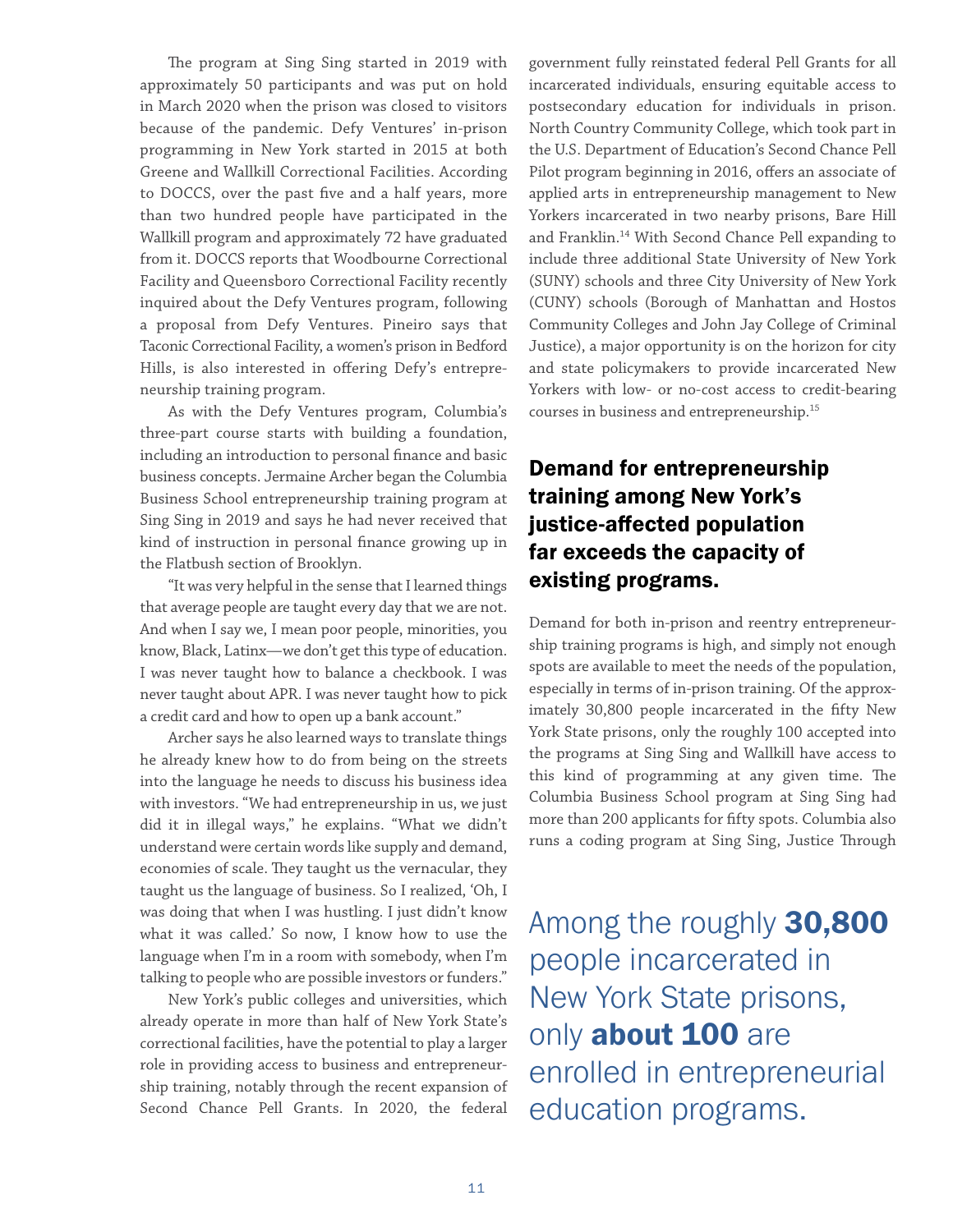The program at Sing Sing started in 2019 with approximately 50 participants and was put on hold in March 2020 when the prison was closed to visitors because of the pandemic. Defy Ventures' in-prison programming in New York started in 2015 at both Greene and Wallkill Correctional Facilities. According to DOCCS, over the past five and a half years, more than two hundred people have participated in the Wallkill program and approximately 72 have graduated from it. DOCCS reports that Woodbourne Correctional Facility and Queensboro Correctional Facility recently inquired about the Defy Ventures program, following a proposal from Defy Ventures. Pineiro says that Taconic Correctional Facility, a women's prison in Bedford Hills, is also interested in offering Defy's entrepreneurship training program.

As with the Defy Ventures program, Columbia's three-part course starts with building a foundation, including an introduction to personal finance and basic business concepts. Jermaine Archer began the Columbia Business School entrepreneurship training program at Sing Sing in 2019 and says he had never received that kind of instruction in personal finance growing up in the Flatbush section of Brooklyn.

"It was very helpful in the sense that I learned things that average people are taught every day that we are not. And when I say we, I mean poor people, minorities, you know, Black, Latinx—we don't get this type of education. I was never taught how to balance a checkbook. I was never taught about APR. I was never taught how to pick a credit card and how to open up a bank account."

Archer says he also learned ways to translate things he already knew how to do from being on the streets into the language he needs to discuss his business idea with investors. "We had entrepreneurship in us, we just did it in illegal ways," he explains. "What we didn't understand were certain words like supply and demand, economies of scale. They taught us the vernacular, they taught us the language of business. So I realized, 'Oh, I was doing that when I was hustling. I just didn't know what it was called.' So now, I know how to use the language when I'm in a room with somebody, when I'm talking to people who are possible investors or funders."

New York's public colleges and universities, which already operate in more than half of New York State's correctional facilities, have the potential to play a larger role in providing access to business and entrepreneurship training, notably through the recent expansion of Second Chance Pell Grants. In 2020, the federal

government fully reinstated federal Pell Grants for all incarcerated individuals, ensuring equitable access to postsecondary education for individuals in prison. North Country Community College, which took part in the U.S. Department of Education's Second Chance Pell Pilot program beginning in 2016, offers an associate of applied arts in entrepreneurship management to New Yorkers incarcerated in two nearby prisons, Bare Hill and Franklin.14 With Second Chance Pell expanding to include three additional State University of New York (SUNY) schools and three City University of New York (CUNY) schools (Borough of Manhattan and Hostos Community Colleges and John Jay College of Criminal Justice), a major opportunity is on the horizon for city and state policymakers to provide incarcerated New Yorkers with low- or no-cost access to credit-bearing courses in business and entrepreneurship.15

#### Demand for entrepreneurship training among New York's justice-affected population far exceeds the capacity of existing programs.

Demand for both in-prison and reentry entrepreneurship training programs is high, and simply not enough spots are available to meet the needs of the population, especially in terms of in-prison training. Of the approximately 30,800 people incarcerated in the fifty New York State prisons, only the roughly 100 accepted into the programs at Sing Sing and Wallkill have access to this kind of programming at any given time. The Columbia Business School program at Sing Sing had more than 200 applicants for fifty spots. Columbia also runs a coding program at Sing Sing, Justice Through

Among the roughly 30,800 people incarcerated in New York State prisons, only **about 100** are enrolled in entrepreneurial education programs.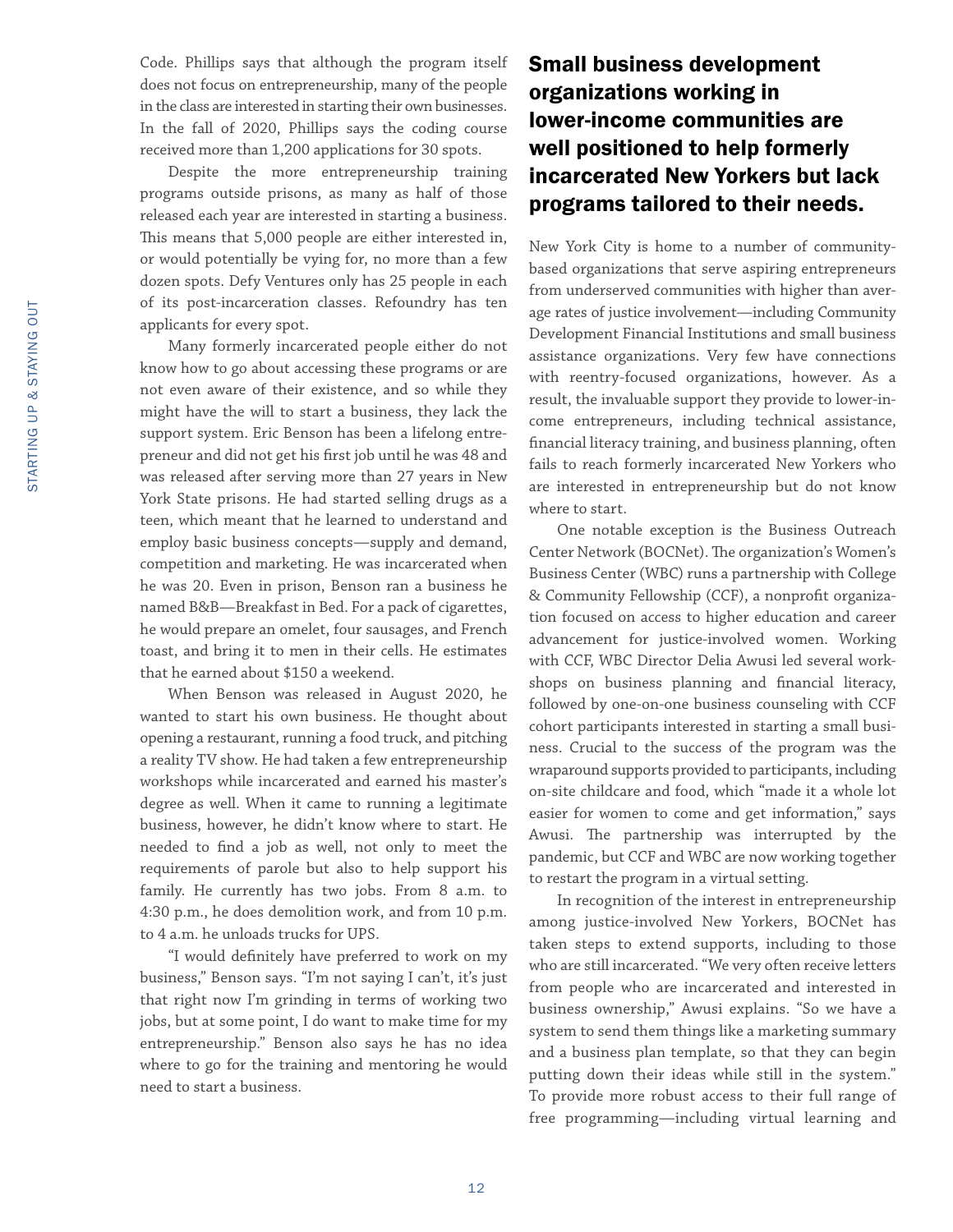Code. Phillips says that although the program itself does not focus on entrepreneurship, many of the people in the class are interested in starting their own businesses. In the fall of 2020, Phillips says the coding course received more than 1,200 applications for 30 spots.

Despite the more entrepreneurship training programs outside prisons, as many as half of those released each year are interested in starting a business. This means that 5,000 people are either interested in, or would potentially be vying for, no more than a few dozen spots. Defy Ventures only has 25 people in each of its post-incarceration classes. Refoundry has ten applicants for every spot.

Many formerly incarcerated people either do not know how to go about accessing these programs or are not even aware of their existence, and so while they might have the will to start a business, they lack the support system. Eric Benson has been a lifelong entrepreneur and did not get his first job until he was 48 and was released after serving more than 27 years in New York State prisons. He had started selling drugs as a teen, which meant that he learned to understand and employ basic business concepts—supply and demand, competition and marketing. He was incarcerated when he was 20. Even in prison, Benson ran a business he named B&B—Breakfast in Bed. For a pack of cigarettes, he would prepare an omelet, four sausages, and French toast, and bring it to men in their cells. He estimates that he earned about \$150 a weekend.

When Benson was released in August 2020, he wanted to start his own business. He thought about opening a restaurant, running a food truck, and pitching a reality TV show. He had taken a few entrepreneurship workshops while incarcerated and earned his master's degree as well. When it came to running a legitimate business, however, he didn't know where to start. He needed to find a job as well, not only to meet the requirements of parole but also to help support his family. He currently has two jobs. From 8 a.m. to 4:30 p.m., he does demolition work, and from 10 p.m. to 4 a.m. he unloads trucks for UPS.

"I would definitely have preferred to work on my business," Benson says. "I'm not saying I can't, it's just that right now I'm grinding in terms of working two jobs, but at some point, I do want to make time for my entrepreneurship." Benson also says he has no idea where to go for the training and mentoring he would need to start a business.

#### Small business development organizations working in lower-income communities are well positioned to help formerly incarcerated New Yorkers but lack programs tailored to their needs.

New York City is home to a number of communitybased organizations that serve aspiring entrepreneurs from underserved communities with higher than average rates of justice involvement—including Community Development Financial Institutions and small business assistance organizations. Very few have connections with reentry-focused organizations, however. As a result, the invaluable support they provide to lower-income entrepreneurs, including technical assistance, financial literacy training, and business planning, often fails to reach formerly incarcerated New Yorkers who are interested in entrepreneurship but do not know where to start.

One notable exception is the Business Outreach Center Network (BOCNet). The organization's Women's Business Center (WBC) runs a partnership with College & Community Fellowship (CCF), a nonprofit organization focused on access to higher education and career advancement for justice-involved women. Working with CCF, WBC Director Delia Awusi led several workshops on business planning and financial literacy, followed by one-on-one business counseling with CCF cohort participants interested in starting a small business. Crucial to the success of the program was the wraparound supports provided to participants, including on-site childcare and food, which "made it a whole lot easier for women to come and get information," says Awusi. The partnership was interrupted by the pandemic, but CCF and WBC are now working together to restart the program in a virtual setting.

In recognition of the interest in entrepreneurship among justice-involved New Yorkers, BOCNet has taken steps to extend supports, including to those who are still incarcerated. "We very often receive letters from people who are incarcerated and interested in business ownership," Awusi explains. "So we have a system to send them things like a marketing summary and a business plan template, so that they can begin putting down their ideas while still in the system." To provide more robust access to their full range of free programming—including virtual learning and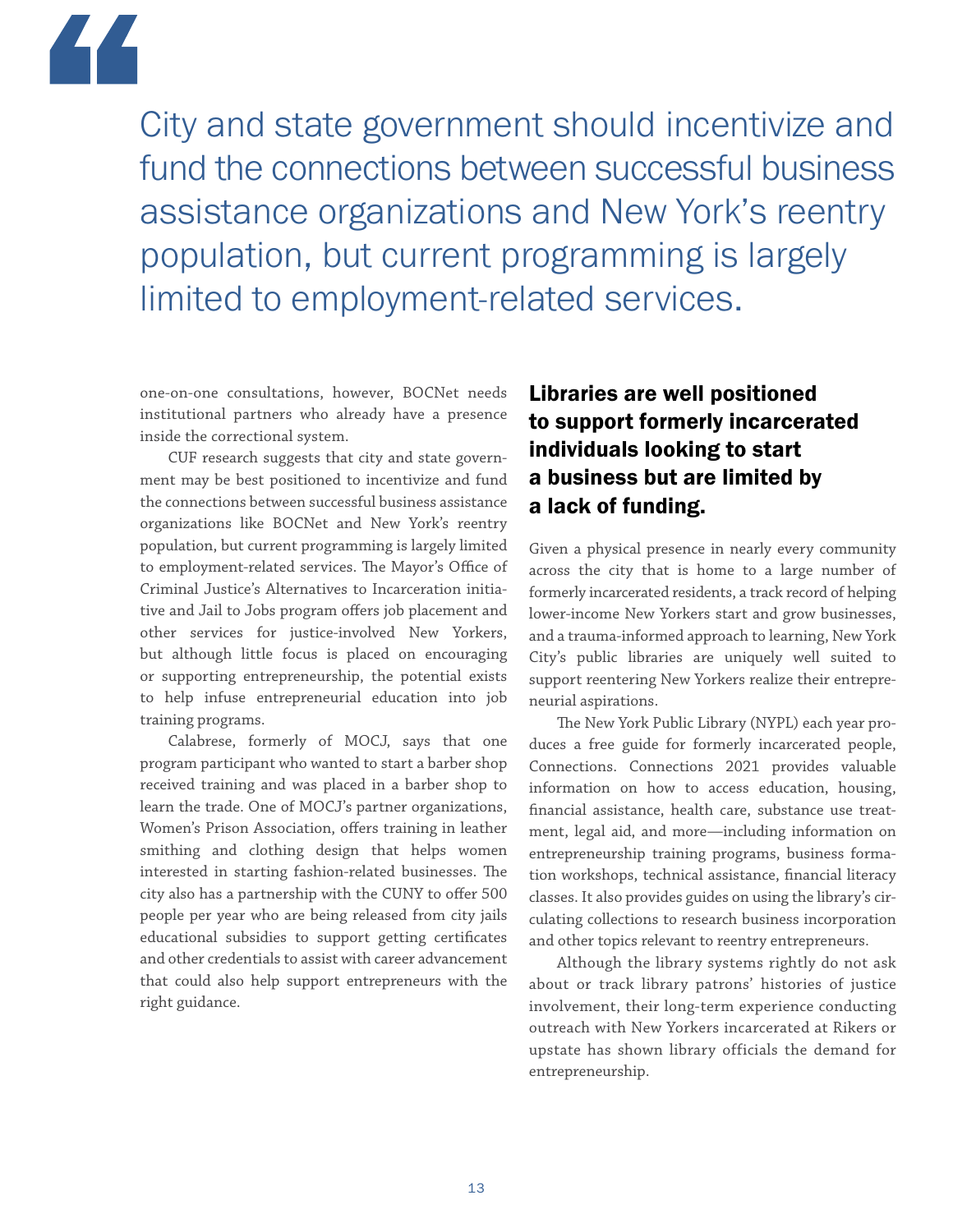

City and state government should incentivize and fund the connections between successful business assistance organizations and New York's reentry population, but current programming is largely limited to employment-related services.

one-on-one consultations, however, BOCNet needs institutional partners who already have a presence inside the correctional system.

CUF research suggests that city and state government may be best positioned to incentivize and fund the connections between successful business assistance organizations like BOCNet and New York's reentry population, but current programming is largely limited to employment-related services. The Mayor's Office of Criminal Justice's Alternatives to Incarceration initiative and Jail to Jobs program offers job placement and other services for justice-involved New Yorkers, but although little focus is placed on encouraging or supporting entrepreneurship, the potential exists to help infuse entrepreneurial education into job training programs.

Calabrese, formerly of MOCJ, says that one program participant who wanted to start a barber shop received training and was placed in a barber shop to learn the trade. One of MOCJ's partner organizations, Women's Prison Association, offers training in leather smithing and clothing design that helps women interested in starting fashion-related businesses. The city also has a partnership with the CUNY to offer 500 people per year who are being released from city jails educational subsidies to support getting certificates and other credentials to assist with career advancement that could also help support entrepreneurs with the right guidance.

#### Libraries are well positioned to support formerly incarcerated individuals looking to start a business but are limited by a lack of funding.

Given a physical presence in nearly every community across the city that is home to a large number of formerly incarcerated residents, a track record of helping lower-income New Yorkers start and grow businesses, and a trauma-informed approach to learning, New York City's public libraries are uniquely well suited to support reentering New Yorkers realize their entrepreneurial aspirations.

The New York Public Library (NYPL) each year produces a free guide for formerly incarcerated people, Connections. Connections 2021 provides valuable information on how to access education, housing, financial assistance, health care, substance use treatment, legal aid, and more—including information on entrepreneurship training programs, business formation workshops, technical assistance, financial literacy classes. It also provides guides on using the library's circulating collections to research business incorporation and other topics relevant to reentry entrepreneurs.

Although the library systems rightly do not ask about or track library patrons' histories of justice involvement, their long-term experience conducting outreach with New Yorkers incarcerated at Rikers or upstate has shown library officials the demand for entrepreneurship.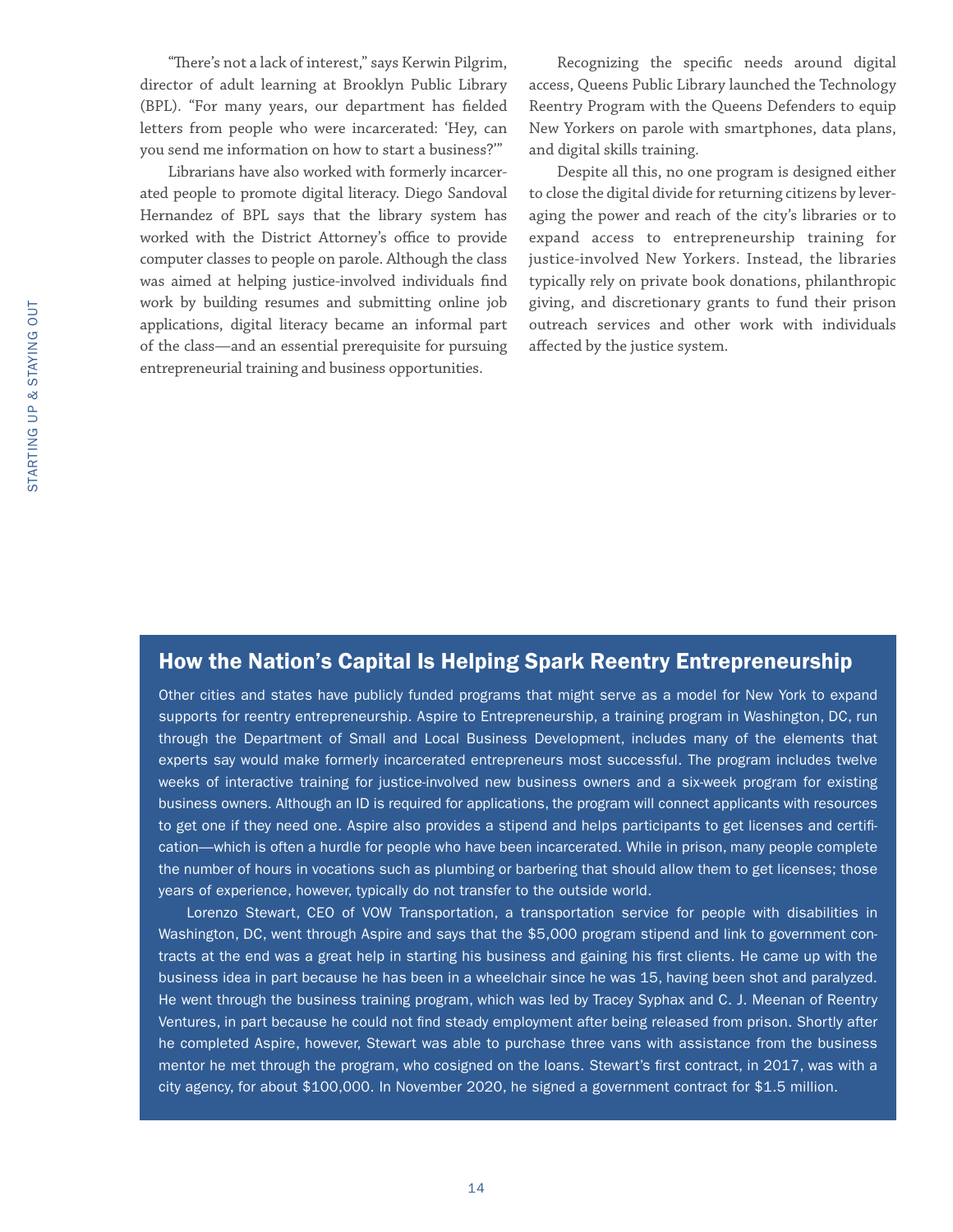"There's not a lack of interest," says Kerwin Pilgrim, director of adult learning at Brooklyn Public Library (BPL). "For many years, our department has fielded letters from people who were incarcerated: 'Hey, can you send me information on how to start a business?'"

Librarians have also worked with formerly incarcerated people to promote digital literacy. Diego Sandoval Hernandez of BPL says that the library system has worked with the District Attorney's office to provide computer classes to people on parole. Although the class was aimed at helping justice-involved individuals find work by building resumes and submitting online job applications, digital literacy became an informal part of the class—and an essential prerequisite for pursuing entrepreneurial training and business opportunities.

Recognizing the specific needs around digital access, Queens Public Library launched the Technology Reentry Program with the Queens Defenders to equip New Yorkers on parole with smartphones, data plans, and digital skills training.

Despite all this, no one program is designed either to close the digital divide for returning citizens by leveraging the power and reach of the city's libraries or to expand access to entrepreneurship training for justice-involved New Yorkers. Instead, the libraries typically rely on private book donations, philanthropic giving, and discretionary grants to fund their prison outreach services and other work with individuals affected by the justice system.

#### How the Nation's Capital Is Helping Spark Reentry Entrepreneurship

Other cities and states have publicly funded programs that might serve as a model for New York to expand supports for reentry entrepreneurship. Aspire to Entrepreneurship, a training program in Washington, DC, run through the Department of Small and Local Business Development, includes many of the elements that experts say would make formerly incarcerated entrepreneurs most successful. The program includes twelve weeks of interactive training for justice-involved new business owners and a six-week program for existing business owners. Although an ID is required for applications, the program will connect applicants with resources to get one if they need one. Aspire also provides a stipend and helps participants to get licenses and certification—which is often a hurdle for people who have been incarcerated. While in prison, many people complete the number of hours in vocations such as plumbing or barbering that should allow them to get licenses; those years of experience, however, typically do not transfer to the outside world.

Lorenzo Stewart, CEO of VOW Transportation, a transportation service for people with disabilities in Washington, DC, went through Aspire and says that the \$5,000 program stipend and link to government contracts at the end was a great help in starting his business and gaining his first clients. He came up with the business idea in part because he has been in a wheelchair since he was 15, having been shot and paralyzed. He went through the business training program, which was led by Tracey Syphax and C. J. Meenan of Reentry Ventures, in part because he could not find steady employment after being released from prison. Shortly after he completed Aspire, however, Stewart was able to purchase three vans with assistance from the business mentor he met through the program, who cosigned on the loans. Stewart's first contract, in 2017, was with a city agency, for about \$100,000. In November 2020, he signed a government contract for \$1.5 million.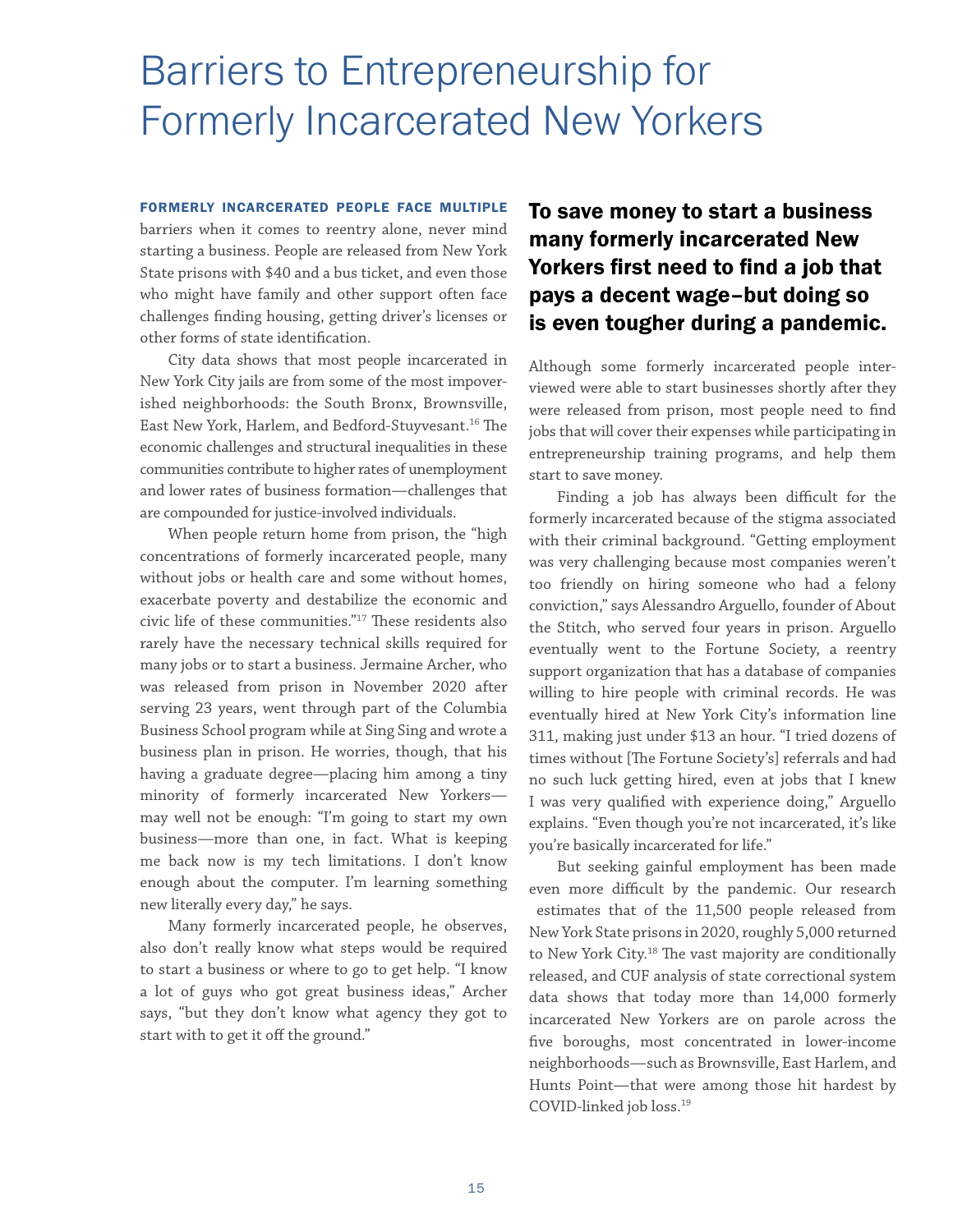## <span id="page-18-0"></span>Barriers to Entrepreneurship for Formerly Incarcerated New Yorkers

FORMERLY INCARCERATED PEOPLE FACE MULTIPLE barriers when it comes to reentry alone, never mind starting a business. People are released from New York State prisons with \$40 and a bus ticket, and even those who might have family and other support often face challenges finding housing, getting driver's licenses or other forms of state identification.

City data shows that most people incarcerated in New York City jails are from some of the most impoverished neighborhoods: the South Bronx, Brownsville, East New York, Harlem, and Bedford-Stuyvesant.16 The economic challenges and structural inequalities in these communities contribute to higher rates of unemployment and lower rates of business formation—challenges that are compounded for justice-involved individuals.

When people return home from prison, the "high concentrations of formerly incarcerated people, many without jobs or health care and some without homes, exacerbate poverty and destabilize the economic and civic life of these communities."17 These residents also rarely have the necessary technical skills required for many jobs or to start a business. Jermaine Archer, who was released from prison in November 2020 after serving 23 years, went through part of the Columbia Business School program while at Sing Sing and wrote a business plan in prison. He worries, though, that his having a graduate degree—placing him among a tiny minority of formerly incarcerated New Yorkers may well not be enough: "I'm going to start my own business—more than one, in fact. What is keeping me back now is my tech limitations. I don't know enough about the computer. I'm learning something new literally every day," he says.

Many formerly incarcerated people, he observes, also don't really know what steps would be required to start a business or where to go to get help. "I know a lot of guys who got great business ideas," Archer says, "but they don't know what agency they got to start with to get it off the ground."

#### To save money to start a business many formerly incarcerated New Yorkers first need to find a job that pays a decent wage–but doing so is even tougher during a pandemic.

Although some formerly incarcerated people interviewed were able to start businesses shortly after they were released from prison, most people need to find jobs that will cover their expenses while participating in entrepreneurship training programs, and help them start to save money.

Finding a job has always been difficult for the formerly incarcerated because of the stigma associated with their criminal background. "Getting employment was very challenging because most companies weren't too friendly on hiring someone who had a felony conviction," says Alessandro Arguello, founder of About the Stitch, who served four years in prison. Arguello eventually went to the Fortune Society, a reentry support organization that has a database of companies willing to hire people with criminal records. He was eventually hired at New York City's information line 311, making just under \$13 an hour. "I tried dozens of times without [The Fortune Society's] referrals and had no such luck getting hired, even at jobs that I knew I was very qualified with experience doing," Arguello explains. "Even though you're not incarcerated, it's like you're basically incarcerated for life."

But seeking gainful employment has been made even more difficult by the pandemic. Our research estimates that of the 11,500 people released from New York State prisons in 2020, roughly 5,000 returned to New York City.<sup>18</sup> The vast majority are conditionally released, and CUF analysis of state correctional system data shows that today more than 14,000 formerly incarcerated New Yorkers are on parole across the five boroughs, most concentrated in lower-income neighborhoods—such as Brownsville, East Harlem, and Hunts Point—that were among those hit hardest by COVID-linked job loss.19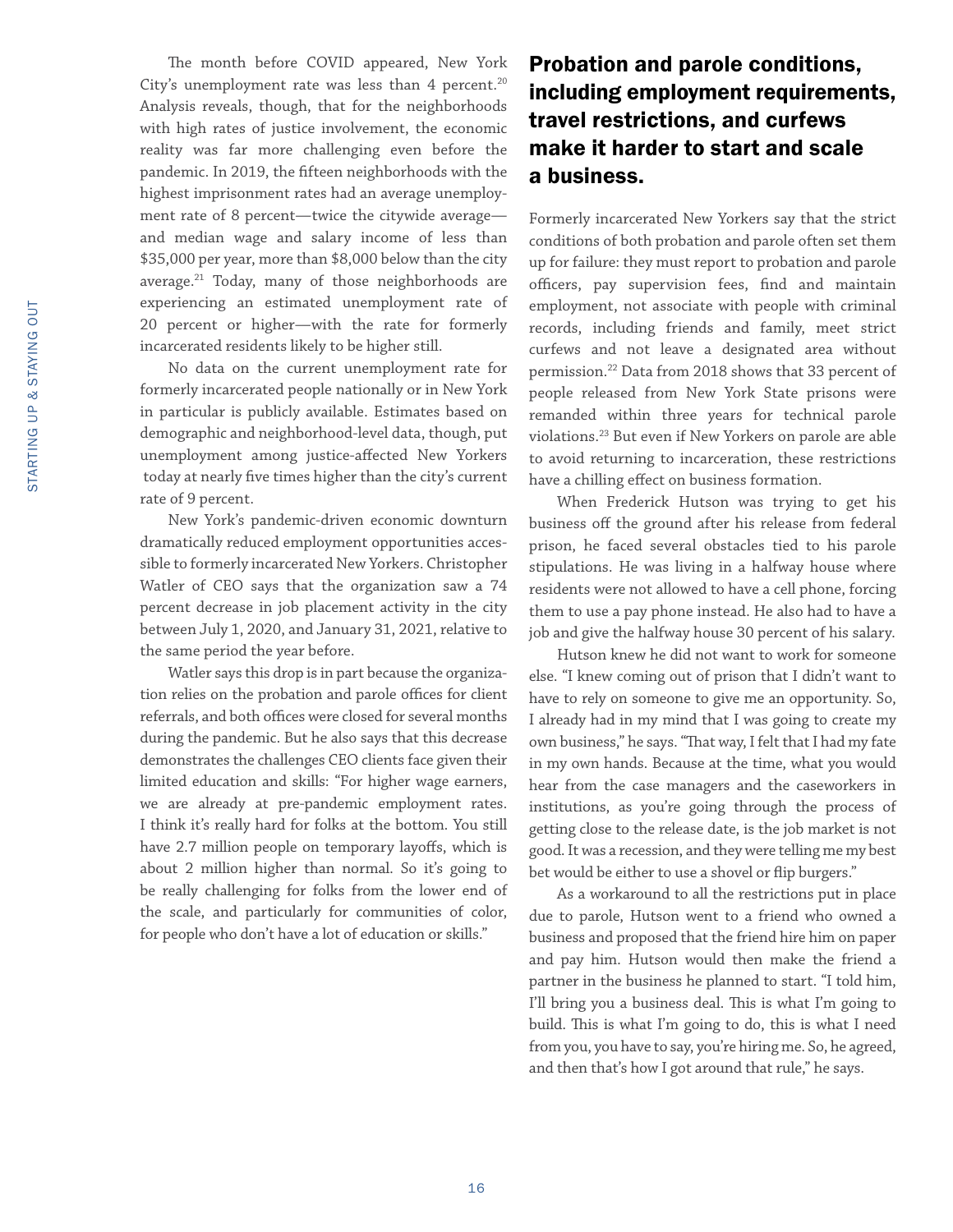The month before COVID appeared, New York City's unemployment rate was less than 4 percent. $20$ Analysis reveals, though, that for the neighborhoods with high rates of justice involvement, the economic reality was far more challenging even before the pandemic. In 2019, the fifteen neighborhoods with the highest imprisonment rates had an average unemployment rate of 8 percent—twice the citywide average and median wage and salary income of less than \$35,000 per year, more than \$8,000 below than the city average.<sup>21</sup> Today, many of those neighborhoods are experiencing an estimated unemployment rate of 20 percent or higher—with the rate for formerly incarcerated residents likely to be higher still.

No data on the current unemployment rate for formerly incarcerated people nationally or in New York in particular is publicly available. Estimates based on demographic and neighborhood-level data, though, put unemployment among justice-affected New Yorkers today at nearly five times higher than the city's current rate of 9 percent.

New York's pandemic-driven economic downturn dramatically reduced employment opportunities accessible to formerly incarcerated New Yorkers. Christopher Watler of CEO says that the organization saw a 74 percent decrease in job placement activity in the city between July 1, 2020, and January 31, 2021, relative to the same period the year before.

Watler says this drop is in part because the organization relies on the probation and parole offices for client referrals, and both offices were closed for several months during the pandemic. But he also says that this decrease demonstrates the challenges CEO clients face given their limited education and skills: "For higher wage earners, we are already at pre-pandemic employment rates. I think it's really hard for folks at the bottom. You still have 2.7 million people on temporary layoffs, which is about 2 million higher than normal. So it's going to be really challenging for folks from the lower end of the scale, and particularly for communities of color, for people who don't have a lot of education or skills."

#### Probation and parole conditions, including employment requirements, travel restrictions, and curfews make it harder to start and scale a business.

Formerly incarcerated New Yorkers say that the strict conditions of both probation and parole often set them up for failure: they must report to probation and parole officers, pay supervision fees, find and maintain employment, not associate with people with criminal records, including friends and family, meet strict curfews and not leave a designated area without permission.22 Data from 2018 shows that 33 percent of people released from New York State prisons were remanded within three years for technical parole violations.23 But even if New Yorkers on parole are able to avoid returning to incarceration, these restrictions have a chilling effect on business formation.

When Frederick Hutson was trying to get his business off the ground after his release from federal prison, he faced several obstacles tied to his parole stipulations. He was living in a halfway house where residents were not allowed to have a cell phone, forcing them to use a pay phone instead. He also had to have a job and give the halfway house 30 percent of his salary.

Hutson knew he did not want to work for someone else. "I knew coming out of prison that I didn't want to have to rely on someone to give me an opportunity. So, I already had in my mind that I was going to create my own business," he says. "That way, I felt that I had my fate in my own hands. Because at the time, what you would hear from the case managers and the caseworkers in institutions, as you're going through the process of getting close to the release date, is the job market is not good. It was a recession, and they were telling me my best bet would be either to use a shovel or flip burgers."

As a workaround to all the restrictions put in place due to parole, Hutson went to a friend who owned a business and proposed that the friend hire him on paper and pay him. Hutson would then make the friend a partner in the business he planned to start. "I told him, I'll bring you a business deal. This is what I'm going to build. This is what I'm going to do, this is what I need from you, you have to say, you're hiring me. So, he agreed, and then that's how I got around that rule," he says.

16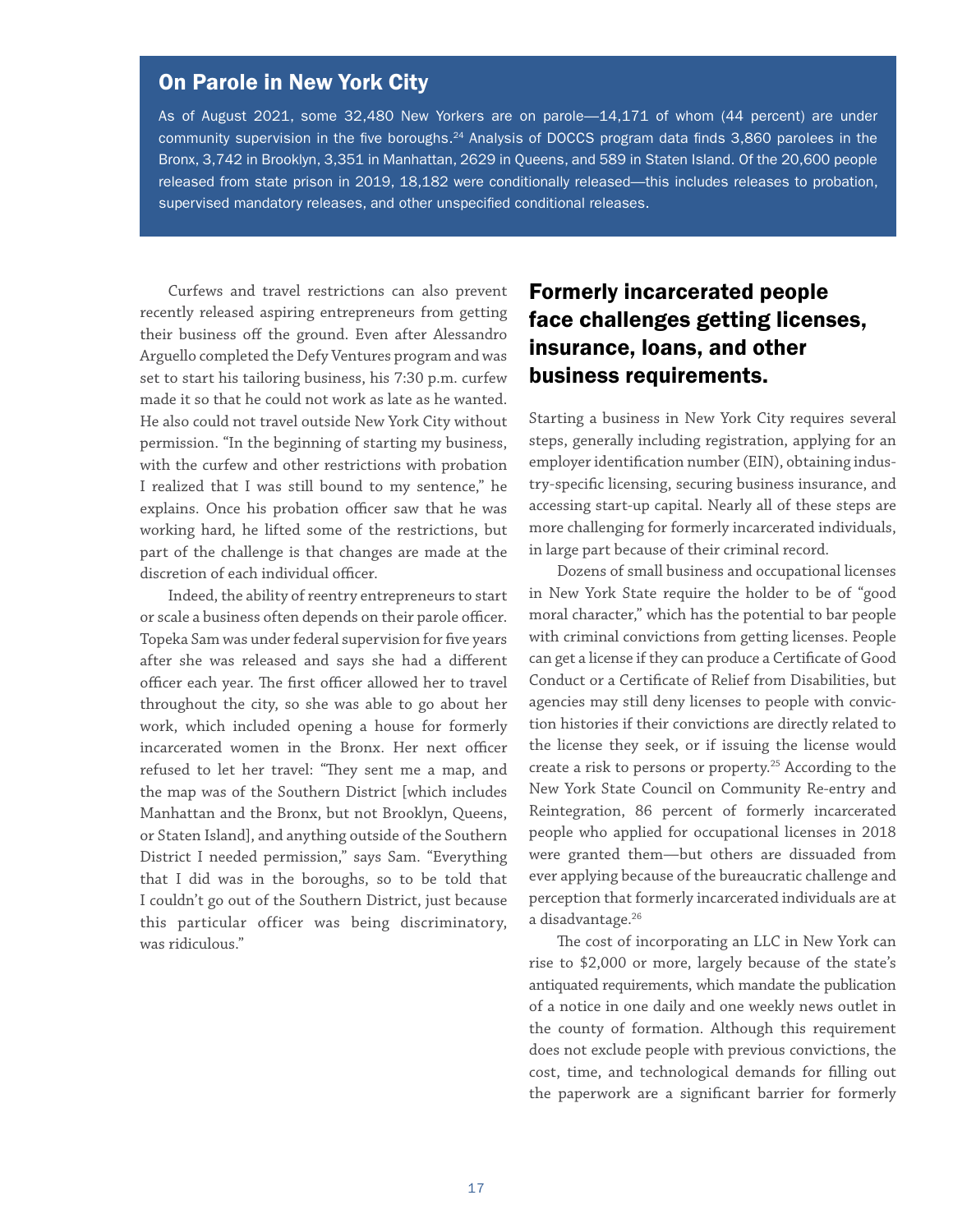#### On Parole in New York City

As of August 2021, some 32,480 New Yorkers are on parole—14,171 of whom (44 percent) are under community supervision in the five boroughs.<sup>24</sup> Analysis of DOCCS program data finds 3,860 parolees in the Bronx, 3,742 in Brooklyn, 3,351 in Manhattan, 2629 in Queens, and 589 in Staten Island. Of the 20,600 people released from state prison in 2019, 18,182 were conditionally released—this includes releases to probation, supervised mandatory releases, and other unspecified conditional releases.

Curfews and travel restrictions can also prevent recently released aspiring entrepreneurs from getting their business off the ground. Even after Alessandro Arguello completed the Defy Ventures program and was set to start his tailoring business, his 7:30 p.m. curfew made it so that he could not work as late as he wanted. He also could not travel outside New York City without permission. "In the beginning of starting my business, with the curfew and other restrictions with probation I realized that I was still bound to my sentence," he explains. Once his probation officer saw that he was working hard, he lifted some of the restrictions, but part of the challenge is that changes are made at the discretion of each individual officer.

Indeed, the ability of reentry entrepreneurs to start or scale a business often depends on their parole officer. Topeka Sam was under federal supervision for five years after she was released and says she had a different officer each year. The first officer allowed her to travel throughout the city, so she was able to go about her work, which included opening a house for formerly incarcerated women in the Bronx. Her next officer refused to let her travel: "They sent me a map, and the map was of the Southern District [which includes Manhattan and the Bronx, but not Brooklyn, Queens, or Staten Island], and anything outside of the Southern District I needed permission," says Sam. "Everything that I did was in the boroughs, so to be told that I couldn't go out of the Southern District, just because this particular officer was being discriminatory, was ridiculous."

#### Formerly incarcerated people face challenges getting licenses, insurance, loans, and other business requirements.

Starting a business in New York City requires several steps, generally including registration, applying for an employer identification number (EIN), obtaining industry-specific licensing, securing business insurance, and accessing start-up capital. Nearly all of these steps are more challenging for formerly incarcerated individuals, in large part because of their criminal record.

Dozens of small business and occupational licenses in New York State require the holder to be of "good moral character," which has the potential to bar people with criminal convictions from getting licenses. People can get a license if they can produce a Certificate of Good Conduct or a Certificate of Relief from Disabilities, but agencies may still deny licenses to people with conviction histories if their convictions are directly related to the license they seek, or if issuing the license would create a risk to persons or property.<sup>25</sup> According to the New York State Council on Community Re-entry and Reintegration, 86 percent of formerly incarcerated people who applied for occupational licenses in 2018 were granted them—but others are dissuaded from ever applying because of the bureaucratic challenge and perception that formerly incarcerated individuals are at a disadvantage.<sup>26</sup>

The cost of incorporating an LLC in New York can rise to \$2,000 or more, largely because of the state's antiquated requirements, which mandate the publication of a notice in one daily and one weekly news outlet in the county of formation. Although this requirement does not exclude people with previous convictions, the cost, time, and technological demands for filling out the paperwork are a significant barrier for formerly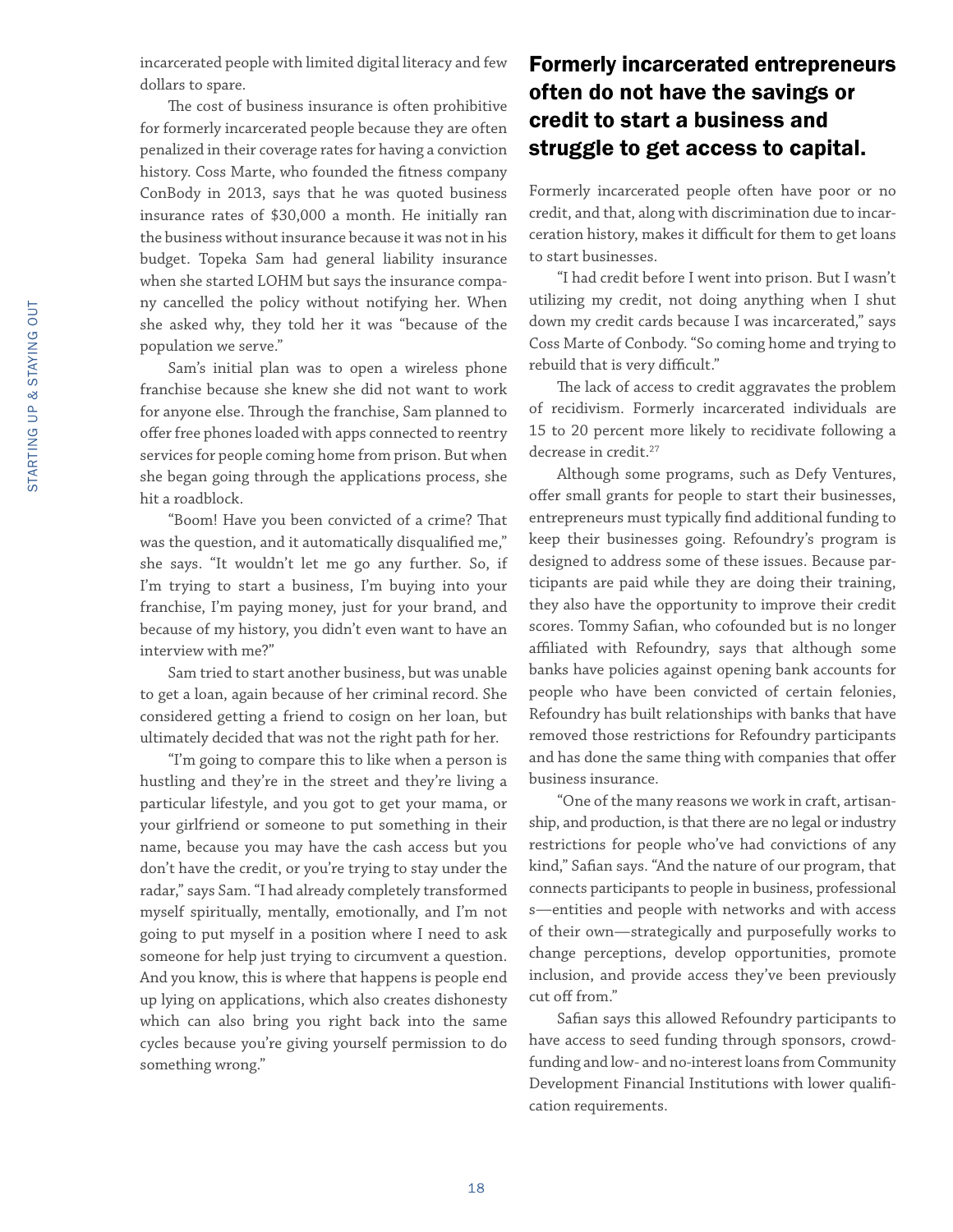incarcerated people with limited digital literacy and few dollars to spare.

The cost of business insurance is often prohibitive for formerly incarcerated people because they are often penalized in their coverage rates for having a conviction history. Coss Marte, who founded the fitness company ConBody in 2013, says that he was quoted business insurance rates of \$30,000 a month. He initially ran the business without insurance because it was not in his budget. Topeka Sam had general liability insurance when she started LOHM but says the insurance company cancelled the policy without notifying her. When she asked why, they told her it was "because of the population we serve."

Sam's initial plan was to open a wireless phone franchise because she knew she did not want to work for anyone else. Through the franchise, Sam planned to offer free phones loaded with apps connected to reentry services for people coming home from prison. But when she began going through the applications process, she hit a roadblock.

"Boom! Have you been convicted of a crime? That was the question, and it automatically disqualified me," she says. "It wouldn't let me go any further. So, if I'm trying to start a business, I'm buying into your franchise, I'm paying money, just for your brand, and because of my history, you didn't even want to have an interview with me?"

Sam tried to start another business, but was unable to get a loan, again because of her criminal record. She considered getting a friend to cosign on her loan, but ultimately decided that was not the right path for her.

"I'm going to compare this to like when a person is hustling and they're in the street and they're living a particular lifestyle, and you got to get your mama, or your girlfriend or someone to put something in their name, because you may have the cash access but you don't have the credit, or you're trying to stay under the radar," says Sam. "I had already completely transformed myself spiritually, mentally, emotionally, and I'm not going to put myself in a position where I need to ask someone for help just trying to circumvent a question. And you know, this is where that happens is people end up lying on applications, which also creates dishonesty which can also bring you right back into the same cycles because you're giving yourself permission to do something wrong."

#### Formerly incarcerated entrepreneurs often do not have the savings or credit to start a business and struggle to get access to capital.

Formerly incarcerated people often have poor or no credit, and that, along with discrimination due to incarceration history, makes it difficult for them to get loans to start businesses.

"I had credit before I went into prison. But I wasn't utilizing my credit, not doing anything when I shut down my credit cards because I was incarcerated," says Coss Marte of Conbody. "So coming home and trying to rebuild that is very difficult."

The lack of access to credit aggravates the problem of recidivism. Formerly incarcerated individuals are 15 to 20 percent more likely to recidivate following a decrease in credit.27

Although some programs, such as Defy Ventures, offer small grants for people to start their businesses, entrepreneurs must typically find additional funding to keep their businesses going. Refoundry's program is designed to address some of these issues. Because participants are paid while they are doing their training, they also have the opportunity to improve their credit scores. Tommy Safian, who cofounded but is no longer affiliated with Refoundry, says that although some banks have policies against opening bank accounts for people who have been convicted of certain felonies, Refoundry has built relationships with banks that have removed those restrictions for Refoundry participants and has done the same thing with companies that offer business insurance.

"One of the many reasons we work in craft, artisanship, and production, is that there are no legal or industry restrictions for people who've had convictions of any kind," Safian says. "And the nature of our program, that connects participants to people in business, professional s—entities and people with networks and with access of their own—strategically and purposefully works to change perceptions, develop opportunities, promote inclusion, and provide access they've been previously cut off from."

Safian says this allowed Refoundry participants to have access to seed funding through sponsors, crowdfunding and low- and no-interest loans from Community Development Financial Institutions with lower qualification requirements.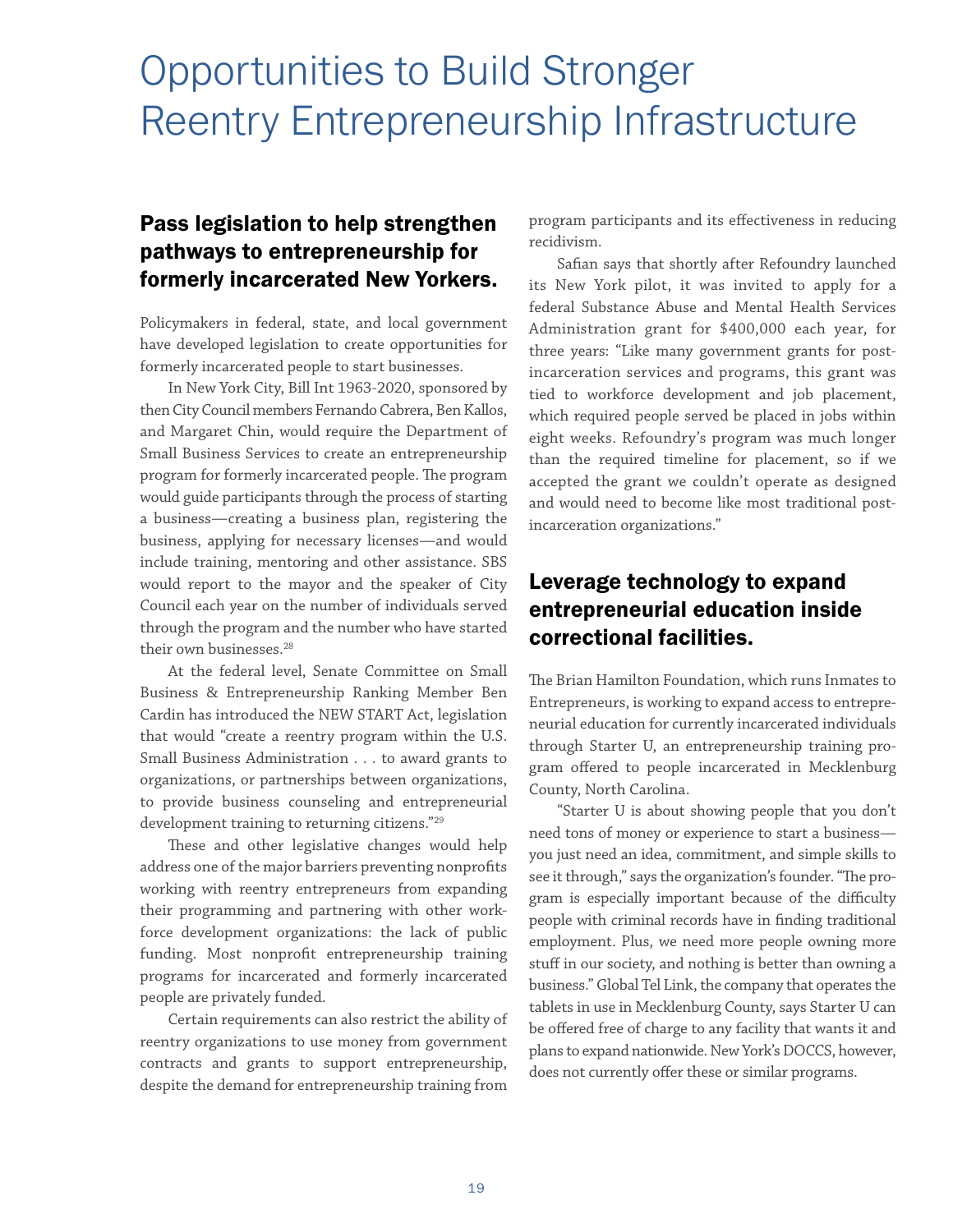## <span id="page-22-0"></span>Opportunities to Build Stronger Reentry Entrepreneurship Infrastructure

#### Pass legislation to help strengthen pathways to entrepreneurship for formerly incarcerated New Yorkers.

Policymakers in federal, state, and local government have developed legislation to create opportunities for formerly incarcerated people to start businesses.

In New York City, Bill Int 1963-2020, sponsored by then City Council members Fernando Cabrera, Ben Kallos, and Margaret Chin, would require the Department of Small Business Services to create an entrepreneurship program for formerly incarcerated people. The program would guide participants through the process of starting a business—creating a business plan, registering the business, applying for necessary licenses—and would include training, mentoring and other assistance. SBS would report to the mayor and the speaker of City Council each year on the number of individuals served through the program and the number who have started their own businesses.<sup>28</sup>

At the federal level, Senate Committee on Small Business & Entrepreneurship Ranking Member Ben Cardin has introduced the NEW START Act, legislation that would "create a reentry program within the U.S. Small Business Administration . . . to award grants to organizations, or partnerships between organizations, to provide business counseling and entrepreneurial development training to returning citizens."29

These and other legislative changes would help address one of the major barriers preventing nonprofits working with reentry entrepreneurs from expanding their programming and partnering with other workforce development organizations: the lack of public funding. Most nonprofit entrepreneurship training programs for incarcerated and formerly incarcerated people are privately funded.

Certain requirements can also restrict the ability of reentry organizations to use money from government contracts and grants to support entrepreneurship, despite the demand for entrepreneurship training from

program participants and its effectiveness in reducing recidivism.

Safian says that shortly after Refoundry launched its New York pilot, it was invited to apply for a federal Substance Abuse and Mental Health Services Administration grant for \$400,000 each year, for three years: "Like many government grants for postincarceration services and programs, this grant was tied to workforce development and job placement, which required people served be placed in jobs within eight weeks. Refoundry's program was much longer than the required timeline for placement, so if we accepted the grant we couldn't operate as designed and would need to become like most traditional postincarceration organizations."

#### Leverage technology to expand entrepreneurial education inside correctional facilities.

The Brian Hamilton Foundation, which runs Inmates to Entrepreneurs, is working to expand access to entrepreneurial education for currently incarcerated individuals through Starter U, an entrepreneurship training program offered to people incarcerated in Mecklenburg County, North Carolina.

"Starter U is about showing people that you don't need tons of money or experience to start a business you just need an idea, commitment, and simple skills to see it through," says the organization's founder. "The program is especially important because of the difficulty people with criminal records have in finding traditional employment. Plus, we need more people owning more stuff in our society, and nothing is better than owning a business." Global Tel Link, the company that operates the tablets in use in Mecklenburg County, says Starter U can be offered free of charge to any facility that wants it and plans to expand nationwide. New York's DOCCS, however, does not currently offer these or similar programs.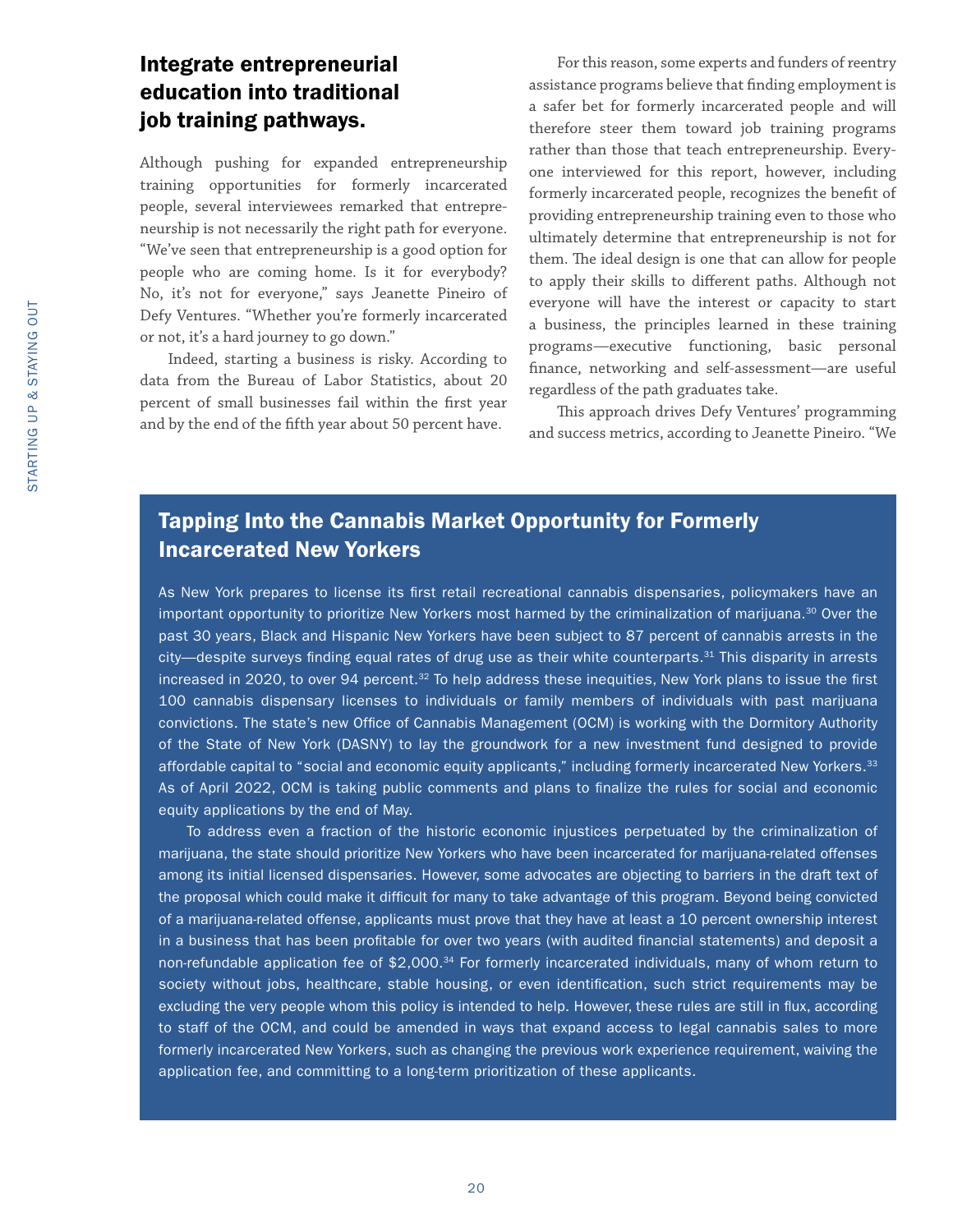#### Integrate entrepreneurial education into traditional job training pathways.

Although pushing for expanded entrepreneurship training opportunities for formerly incarcerated people, several interviewees remarked that entrepreneurship is not necessarily the right path for everyone. "We've seen that entrepreneurship is a good option for people who are coming home. Is it for everybody? No, it's not for everyone," says Jeanette Pineiro of Defy Ventures. "Whether you're formerly incarcerated or not, it's a hard journey to go down."

Indeed, starting a business is risky. According to data from the Bureau of Labor Statistics, about 20 percent of small businesses fail within the first year and by the end of the fifth year about 50 percent have.

For this reason, some experts and funders of reentry assistance programs believe that finding employment is a safer bet for formerly incarcerated people and will therefore steer them toward job training programs rather than those that teach entrepreneurship. Everyone interviewed for this report, however, including formerly incarcerated people, recognizes the benefit of providing entrepreneurship training even to those who ultimately determine that entrepreneurship is not for them. The ideal design is one that can allow for people to apply their skills to different paths. Although not everyone will have the interest or capacity to start a business, the principles learned in these training programs—executive functioning, basic personal finance, networking and self-assessment—are useful regardless of the path graduates take.

This approach drives Defy Ventures' programming and success metrics, according to Jeanette Pineiro. "We

#### Tapping Into the Cannabis Market Opportunity for Formerly Incarcerated New Yorkers

As New York prepares to license its first retail recreational cannabis dispensaries, policymakers have an important opportunity to prioritize New Yorkers most harmed by the criminalization of marijuana.<sup>30</sup> Over the past 30 years, Black and Hispanic New Yorkers have been subject to 87 percent of cannabis arrests in the city—despite surveys finding equal rates of drug use as their white counterparts.<sup>31</sup> This disparity in arrests increased in 2020, to over 94 percent.<sup>32</sup> To help address these inequities, New York plans to issue the first 100 cannabis dispensary licenses to individuals or family members of individuals with past marijuana convictions. The state's new Office of Cannabis Management (OCM) is working with the Dormitory Authority of the State of New York (DASNY) to lay the groundwork for a new investment fund designed to provide affordable capital to "social and economic equity applicants," including formerly incarcerated New Yorkers.<sup>33</sup> As of April 2022, OCM is taking public comments and plans to finalize the rules for social and economic equity applications by the end of May.

To address even a fraction of the historic economic injustices perpetuated by the criminalization of marijuana, the state should prioritize New Yorkers who have been incarcerated for marijuana-related offenses among its initial licensed dispensaries. However, some advocates are objecting to barriers in the draft text of the proposal which could make it difficult for many to take advantage of this program. Beyond being convicted of a marijuana-related offense, applicants must prove that they have at least a 10 percent ownership interest in a business that has been profitable for over two years (with audited financial statements) and deposit a non-refundable application fee of \$2,000.<sup>34</sup> For formerly incarcerated individuals, many of whom return to society without jobs, healthcare, stable housing, or even identification, such strict requirements may be excluding the very people whom this policy is intended to help. However, these rules are still in flux, according to staff of the OCM, and could be amended in ways that expand access to legal cannabis sales to more formerly incarcerated New Yorkers, such as changing the previous work experience requirement, waiving the application fee, and committing to a long-term prioritization of these applicants.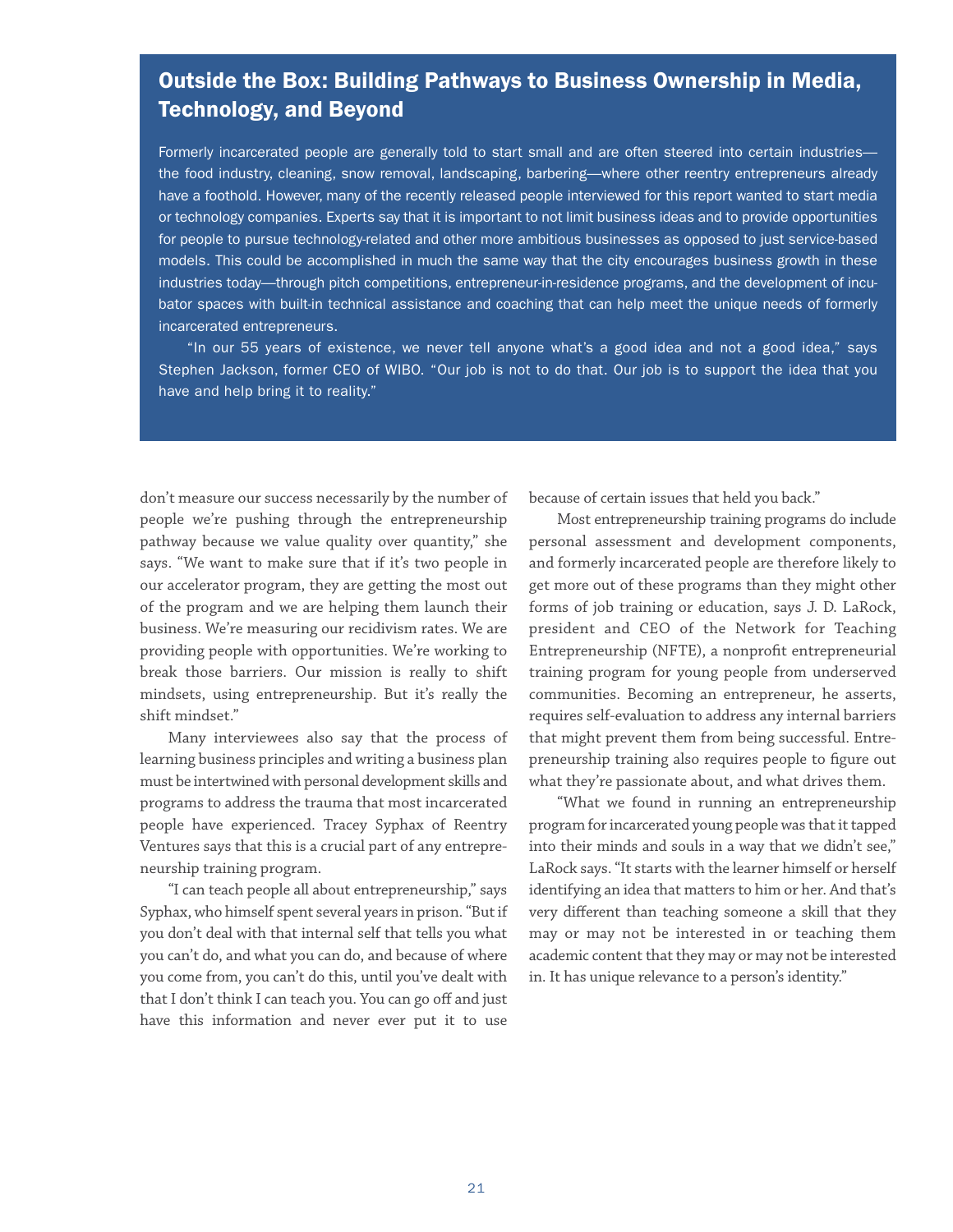#### Outside the Box: Building Pathways to Business Ownership in Media, Technology, and Beyond

Formerly incarcerated people are generally told to start small and are often steered into certain industries the food industry, cleaning, snow removal, landscaping, barbering—where other reentry entrepreneurs already have a foothold. However, many of the recently released people interviewed for this report wanted to start media or technology companies. Experts say that it is important to not limit business ideas and to provide opportunities for people to pursue technology-related and other more ambitious businesses as opposed to just service-based models. This could be accomplished in much the same way that the city encourages business growth in these industries today—through pitch competitions, entrepreneur-in-residence programs, and the development of incubator spaces with built-in technical assistance and coaching that can help meet the unique needs of formerly incarcerated entrepreneurs.

"In our 55 years of existence, we never tell anyone what's a good idea and not a good idea," says Stephen Jackson, former CEO of WIBO. "Our job is not to do that. Our job is to support the idea that you have and help bring it to reality."

don't measure our success necessarily by the number of people we're pushing through the entrepreneurship pathway because we value quality over quantity," she says. "We want to make sure that if it's two people in our accelerator program, they are getting the most out of the program and we are helping them launch their business. We're measuring our recidivism rates. We are providing people with opportunities. We're working to break those barriers. Our mission is really to shift mindsets, using entrepreneurship. But it's really the shift mindset."

Many interviewees also say that the process of learning business principles and writing a business plan must be intertwined with personal development skills and programs to address the trauma that most incarcerated people have experienced. Tracey Syphax of Reentry Ventures says that this is a crucial part of any entrepreneurship training program.

"I can teach people all about entrepreneurship," says Syphax, who himself spent several years in prison. "But if you don't deal with that internal self that tells you what you can't do, and what you can do, and because of where you come from, you can't do this, until you've dealt with that I don't think I can teach you. You can go off and just have this information and never ever put it to use

because of certain issues that held you back."

Most entrepreneurship training programs do include personal assessment and development components, and formerly incarcerated people are therefore likely to get more out of these programs than they might other forms of job training or education, says J. D. LaRock, president and CEO of the Network for Teaching Entrepreneurship (NFTE), a nonprofit entrepreneurial training program for young people from underserved communities. Becoming an entrepreneur, he asserts, requires self-evaluation to address any internal barriers that might prevent them from being successful. Entrepreneurship training also requires people to figure out what they're passionate about, and what drives them.

"What we found in running an entrepreneurship program for incarcerated young people was that it tapped into their minds and souls in a way that we didn't see," LaRock says. "It starts with the learner himself or herself identifying an idea that matters to him or her. And that's very different than teaching someone a skill that they may or may not be interested in or teaching them academic content that they may or may not be interested in. It has unique relevance to a person's identity."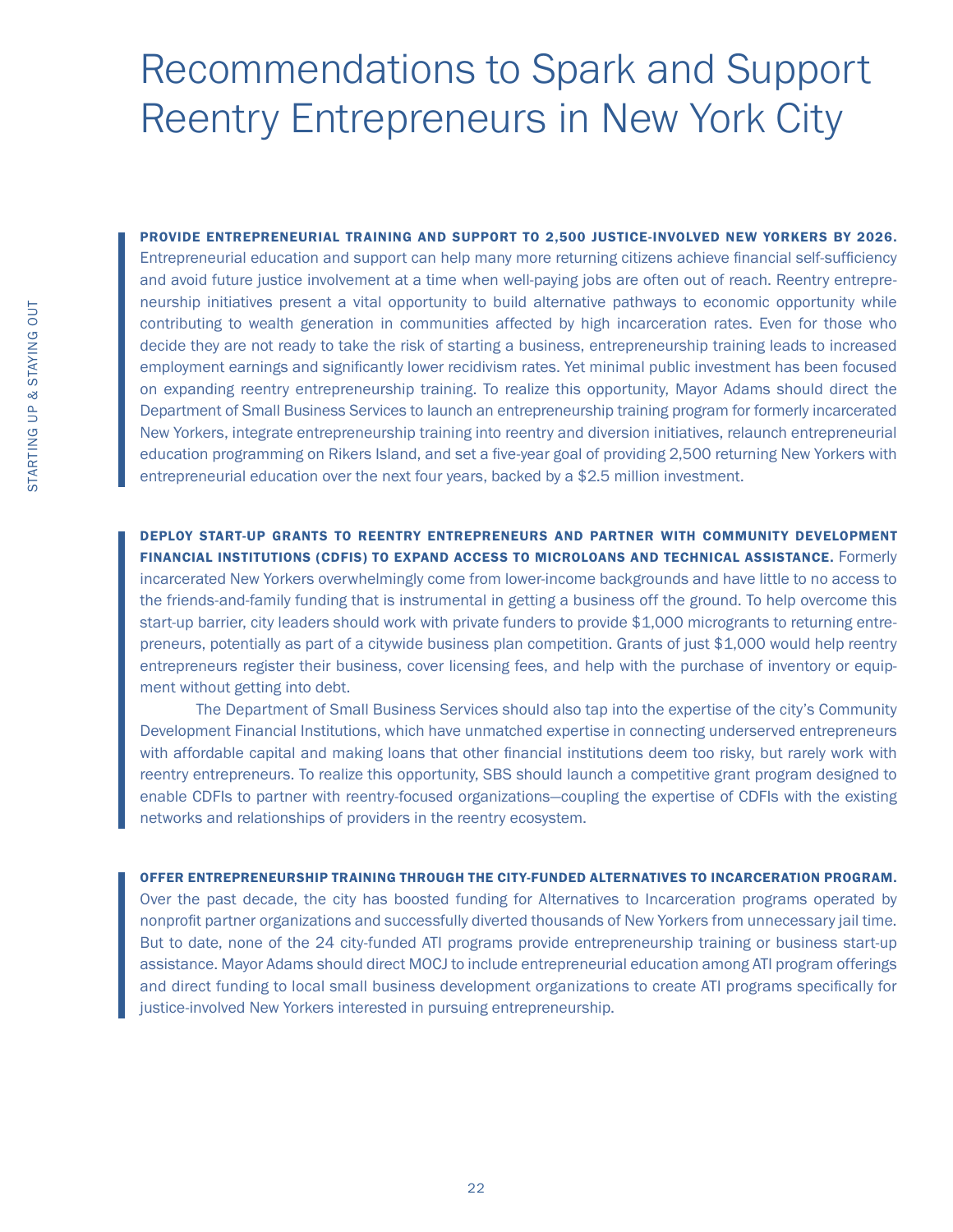## <span id="page-25-0"></span>Recommendations to Spark and Support Reentry Entrepreneurs in New York City

PROVIDE ENTREPRENEURIAL TRAINING AND SUPPORT TO 2,500 JUSTICE-INVOLVED NEW YORKERS BY 2026. Entrepreneurial education and support can help many more returning citizens achieve financial self-sufficiency and avoid future justice involvement at a time when well-paying jobs are often out of reach. Reentry entrepreneurship initiatives present a vital opportunity to build alternative pathways to economic opportunity while contributing to wealth generation in communities affected by high incarceration rates. Even for those who decide they are not ready to take the risk of starting a business, entrepreneurship training leads to increased employment earnings and significantly lower recidivism rates. Yet minimal public investment has been focused on expanding reentry entrepreneurship training. To realize this opportunity, Mayor Adams should direct the Department of Small Business Services to launch an entrepreneurship training program for formerly incarcerated New Yorkers, integrate entrepreneurship training into reentry and diversion initiatives, relaunch entrepreneurial education programming on Rikers Island, and set a five-year goal of providing 2,500 returning New Yorkers with entrepreneurial education over the next four years, backed by a \$2.5 million investment.

DEPLOY START-UP GRANTS TO REENTRY ENTREPRENEURS AND PARTNER WITH COMMUNITY DEVELOPMENT FINANCIAL INSTITUTIONS (CDFIS) TO EXPAND ACCESS TO MICROLOANS AND TECHNICAL ASSISTANCE. Formerly incarcerated New Yorkers overwhelmingly come from lower-income backgrounds and have little to no access to the friends-and-family funding that is instrumental in getting a business off the ground. To help overcome this start-up barrier, city leaders should work with private funders to provide \$1,000 microgrants to returning entrepreneurs, potentially as part of a citywide business plan competition. Grants of just \$1,000 would help reentry entrepreneurs register their business, cover licensing fees, and help with the purchase of inventory or equipment without getting into debt.

The Department of Small Business Services should also tap into the expertise of the city's Community Development Financial Institutions, which have unmatched expertise in connecting underserved entrepreneurs with affordable capital and making loans that other financial institutions deem too risky, but rarely work with reentry entrepreneurs. To realize this opportunity, SBS should launch a competitive grant program designed to enable CDFIs to partner with reentry-focused organizations—coupling the expertise of CDFIs with the existing networks and relationships of providers in the reentry ecosystem.

OFFER ENTREPRENEURSHIP TRAINING THROUGH THE CITY-FUNDED ALTERNATIVES TO INCARCERATION PROGRAM. Over the past decade, the city has boosted funding for Alternatives to Incarceration programs operated by nonprofit partner organizations and successfully diverted thousands of New Yorkers from unnecessary jail time. But to date, none of the 24 city-funded ATI programs provide entrepreneurship training or business start-up assistance. Mayor Adams should direct MOCJ to include entrepreneurial education among ATI program offerings and direct funding to local small business development organizations to create ATI programs specifically for justice-involved New Yorkers interested in pursuing entrepreneurship.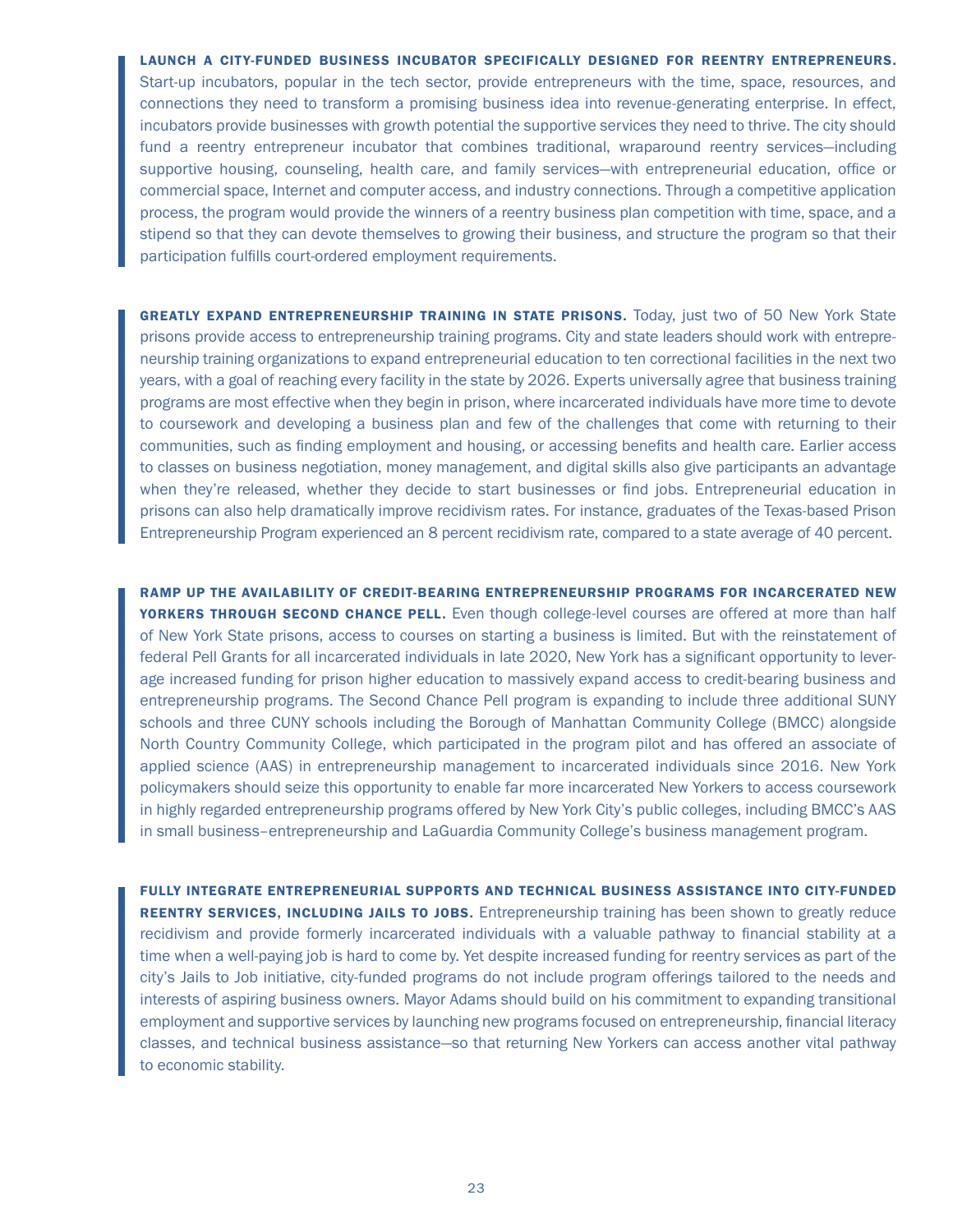LAUNCH A CITY-FUNDED BUSINESS INCUBATOR SPECIFICALLY DESIGNED FOR REENTRY ENTREPRENEURS. Start-up incubators, popular in the tech sector, provide entrepreneurs with the time, space, resources, and connections they need to transform a promising business idea into revenue-generating enterprise. In effect, incubators provide businesses with growth potential the supportive services they need to thrive. The city should fund a reentry entrepreneur incubator that combines traditional, wraparound reentry services—including supportive housing, counseling, health care, and family services—with entrepreneurial education, office or commercial space, Internet and computer access, and industry connections. Through a competitive application process, the program would provide the winners of a reentry business plan competition with time, space, and a stipend so that they can devote themselves to growing their business, and structure the program so that their participation fulfills court-ordered employment requirements.

GREATLY EXPAND ENTREPRENEURSHIP TRAINING IN STATE PRISONS. Today, just two of 50 New York State prisons provide access to entrepreneurship training programs. City and state leaders should work with entrepreneurship training organizations to expand entrepreneurial education to ten correctional facilities in the next two years, with a goal of reaching every facility in the state by 2026. Experts universally agree that business training programs are most effective when they begin in prison, where incarcerated individuals have more time to devote to coursework and developing a business plan and few of the challenges that come with returning to their communities, such as finding employment and housing, or accessing benefits and health care. Earlier access to classes on business negotiation, money management, and digital skills also give participants an advantage when they're released, whether they decide to start businesses or find jobs. Entrepreneurial education in prisons can also help dramatically improve recidivism rates. For instance, graduates of the Texas-based Prison Entrepreneurship Program experienced an 8 percent recidivism rate, compared to a state average of 40 percent.

RAMP UP THE AVAILABILITY OF CREDIT-BEARING ENTREPRENEURSHIP PROGRAMS FOR INCARCERATED NEW YORKERS THROUGH SECOND CHANCE PELL. Even though college-level courses are offered at more than half of New York State prisons, access to courses on starting a business is limited. But with the reinstatement of federal Pell Grants for all incarcerated individuals in late 2020, New York has a significant opportunity to leverage increased funding for prison higher education to massively expand access to credit-bearing business and entrepreneurship programs. The Second Chance Pell program is expanding to include three additional SUNY schools and three CUNY schools including the Borough of Manhattan Community College (BMCC) alongside North Country Community College, which participated in the program pilot and has offered an associate of applied science (AAS) in entrepreneurship management to incarcerated individuals since 2016. New York policymakers should seize this opportunity to enable far more incarcerated New Yorkers to access coursework in highly regarded entrepreneurship programs offered by New York City's public colleges, including BMCC's AAS in small business–entrepreneurship and LaGuardia Community College's business management program.

FULLY INTEGRATE ENTREPRENEURIAL SUPPORTS AND TECHNICAL BUSINESS ASSISTANCE INTO CITY-FUNDED REENTRY SERVICES, INCLUDING JAILS TO JOBS. Entrepreneurship training has been shown to greatly reduce recidivism and provide formerly incarcerated individuals with a valuable pathway to financial stability at a time when a well-paying job is hard to come by. Yet despite increased funding for reentry services as part of the city's Jails to Job initiative, city-funded programs do not include program offerings tailored to the needs and interests of aspiring business owners. Mayor Adams should build on his commitment to expanding transitional employment and supportive services by launching new programs focused on entrepreneurship, financial literacy classes, and technical business assistance—so that returning New Yorkers can access another vital pathway to economic stability.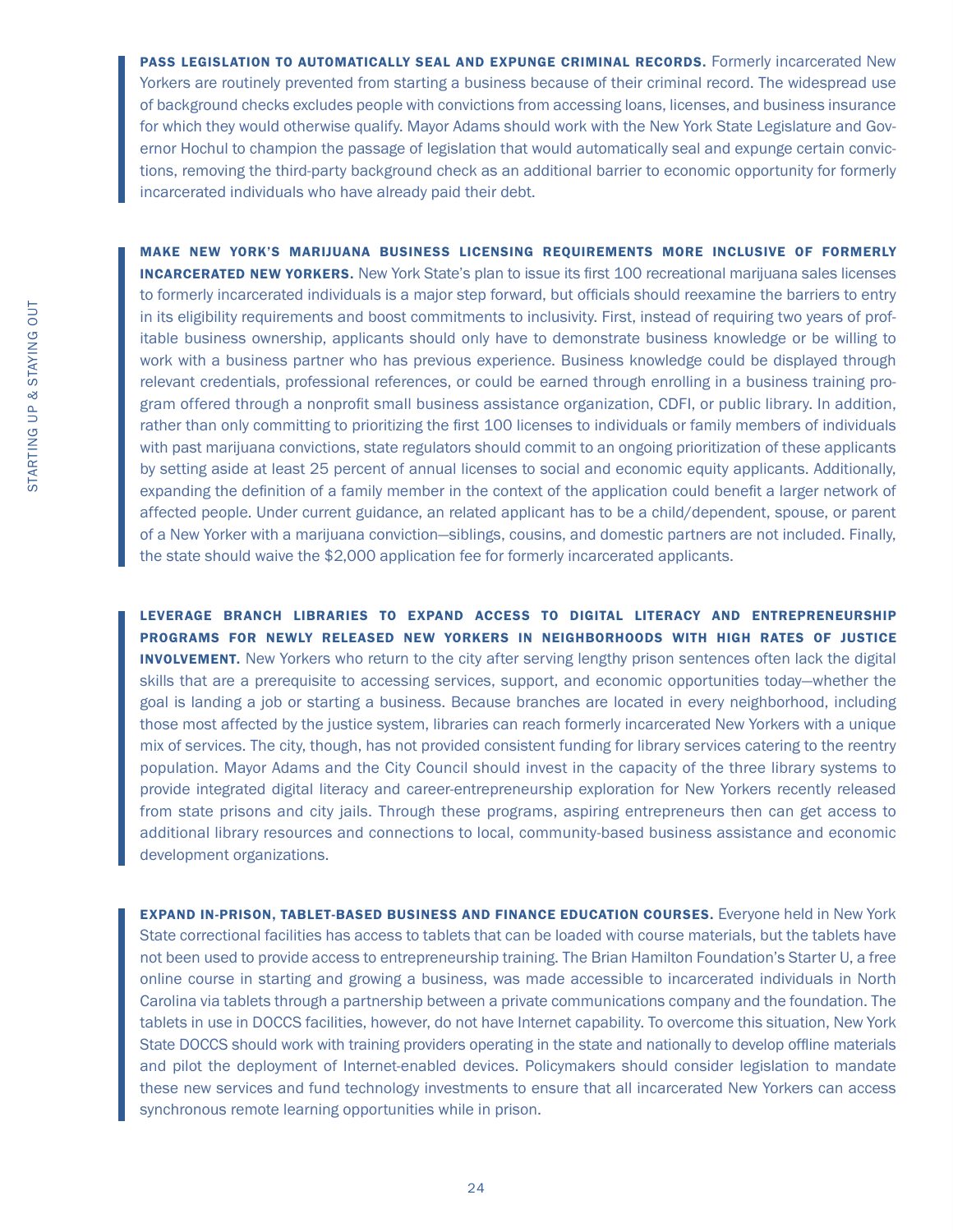PASS LEGISLATION TO AUTOMATICALLY SEAL AND EXPUNGE CRIMINAL RECORDS. Formerly incarcerated New Yorkers are routinely prevented from starting a business because of their criminal record. The widespread use of background checks excludes people with convictions from accessing loans, licenses, and business insurance for which they would otherwise qualify. Mayor Adams should work with the New York State Legislature and Governor Hochul to champion the passage of legislation that would automatically seal and expunge certain convictions, removing the third-party background check as an additional barrier to economic opportunity for formerly incarcerated individuals who have already paid their debt.

MAKE NEW YORK'S MARIJUANA BUSINESS LICENSING REQUIREMENTS MORE INCLUSIVE OF FORMERLY **INCARCERATED NEW YORKERS.** New York State's plan to issue its first 100 recreational marijuana sales licenses to formerly incarcerated individuals is a major step forward, but officials should reexamine the barriers to entry in its eligibility requirements and boost commitments to inclusivity. First, instead of requiring two years of profitable business ownership, applicants should only have to demonstrate business knowledge or be willing to work with a business partner who has previous experience. Business knowledge could be displayed through relevant credentials, professional references, or could be earned through enrolling in a business training program offered through a nonprofit small business assistance organization, CDFI, or public library. In addition, rather than only committing to prioritizing the first 100 licenses to individuals or family members of individuals with past marijuana convictions, state regulators should commit to an ongoing prioritization of these applicants by setting aside at least 25 percent of annual licenses to social and economic equity applicants. Additionally, expanding the definition of a family member in the context of the application could benefit a larger network of affected people. Under current guidance, an related applicant has to be a child/dependent, spouse, or parent of a New Yorker with a marijuana conviction—siblings, cousins, and domestic partners are not included. Finally, the state should waive the \$2,000 application fee for formerly incarcerated applicants.

LEVERAGE BRANCH LIBRARIES TO EXPAND ACCESS TO DIGITAL LITERACY AND ENTREPRENEURSHIP PROGRAMS FOR NEWLY RELEASED NEW YORKERS IN NEIGHBORHOODS WITH HIGH RATES OF JUSTICE **INVOLVEMENT.** New Yorkers who return to the city after serving lengthy prison sentences often lack the digital skills that are a prerequisite to accessing services, support, and economic opportunities today—whether the goal is landing a job or starting a business. Because branches are located in every neighborhood, including those most affected by the justice system, libraries can reach formerly incarcerated New Yorkers with a unique mix of services. The city, though, has not provided consistent funding for library services catering to the reentry population. Mayor Adams and the City Council should invest in the capacity of the three library systems to provide integrated digital literacy and career-entrepreneurship exploration for New Yorkers recently released from state prisons and city jails. Through these programs, aspiring entrepreneurs then can get access to additional library resources and connections to local, community-based business assistance and economic development organizations.

EXPAND IN-PRISON, TABLET-BASED BUSINESS AND FINANCE EDUCATION COURSES. Everyone held in New York State correctional facilities has access to tablets that can be loaded with course materials, but the tablets have not been used to provide access to entrepreneurship training. The Brian Hamilton Foundation's Starter U, a free online course in starting and growing a business, was made accessible to incarcerated individuals in North Carolina via tablets through a partnership between a private communications company and the foundation. The tablets in use in DOCCS facilities, however, do not have Internet capability. To overcome this situation, New York State DOCCS should work with training providers operating in the state and nationally to develop offline materials and pilot the deployment of Internet-enabled devices. Policymakers should consider legislation to mandate these new services and fund technology investments to ensure that all incarcerated New Yorkers can access synchronous remote learning opportunities while in prison.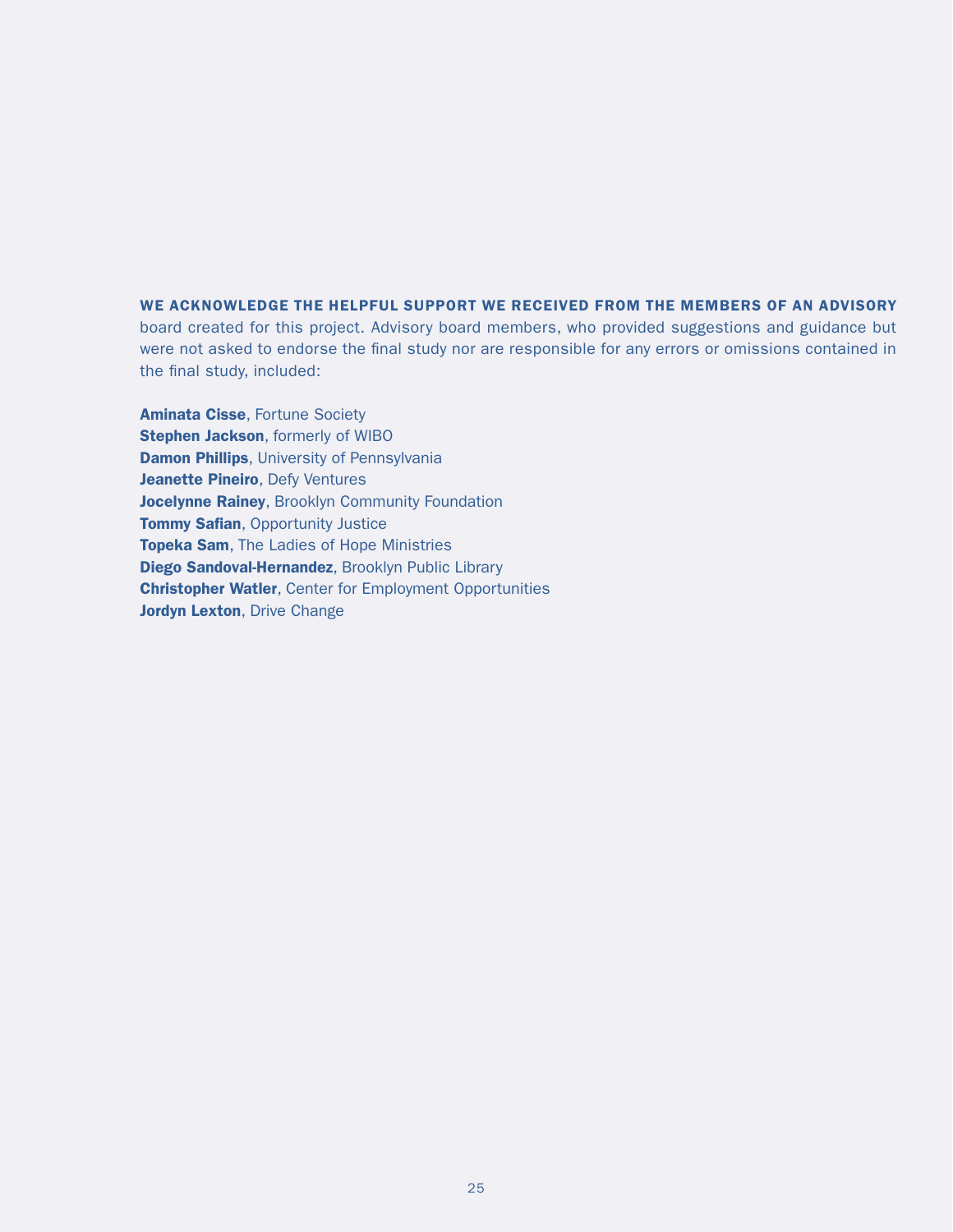WE ACKNOWLEDGE THE HELPFUL SUPPORT WE RECEIVED FROM THE MEMBERS OF AN ADVISORY board created for this project. Advisory board members, who provided suggestions and guidance but were not asked to endorse the final study nor are responsible for any errors or omissions contained in the final study, included:

**Aminata Cisse, Fortune Society Stephen Jackson**, formerly of WIBO **Damon Phillips**, University of Pennsylvania Jeanette Pineiro, Defy Ventures Jocelynne Rainey, Brooklyn Community Foundation **Tommy Safian, Opportunity Justice Topeka Sam, The Ladies of Hope Ministries** Diego Sandoval-Hernandez, Brooklyn Public Library Christopher Watler, Center for Employment Opportunities Jordyn Lexton, Drive Change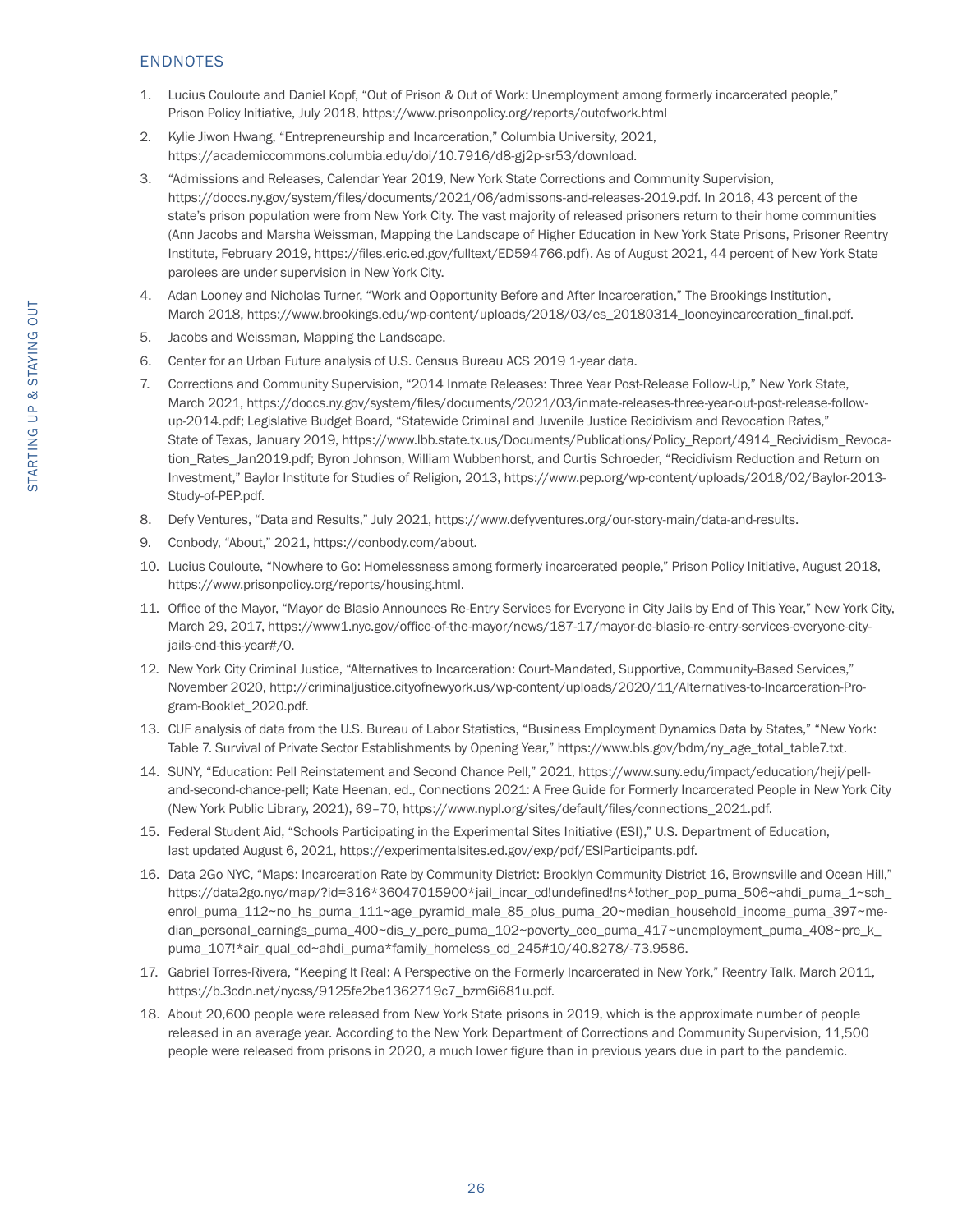#### ENDNOTES

- 1. Lucius Couloute and Daniel Kopf, "Out of Prison & Out of Work: Unemployment among formerly incarcerated people," Prison Policy Initiative, July 2018, https://www.prisonpolicy.org/reports/outofwork.html
- 2. Kylie Jiwon Hwang, "Entrepreneurship and Incarceration," Columbia University, 2021, https://academiccommons.columbia.edu/doi/10.7916/d8-gj2p-sr53/download.
- 3. "Admissions and Releases, Calendar Year 2019, New York State Corrections and Community Supervision, https://doccs.ny.gov/system/files/documents/2021/06/admissons-and-releases-2019.pdf. In 2016, 43 percent of the state's prison population were from New York City. The vast majority of released prisoners return to their home communities (Ann Jacobs and Marsha Weissman, Mapping the Landscape of Higher Education in New York State Prisons, Prisoner Reentry Institute, February 2019, https://files.eric.ed.gov/fulltext/ED594766.pdf). As of August 2021, 44 percent of New York State parolees are under supervision in New York City.
- 4. Adan Looney and Nicholas Turner, "Work and Opportunity Before and After Incarceration," The Brookings Institution, March 2018, https://www.brookings.edu/wp-content/uploads/2018/03/es\_20180314\_looneyincarceration\_final.pdf.
- 5. Jacobs and Weissman, Mapping the Landscape.
- 6. Center for an Urban Future analysis of U.S. Census Bureau ACS 2019 1-year data.
- 7. Corrections and Community Supervision, "2014 Inmate Releases: Three Year Post-Release Follow-Up," New York State, March 2021, https://doccs.ny.gov/system/files/documents/2021/03/inmate-releases-three-year-out-post-release-followup-2014.pdf; Legislative Budget Board, "Statewide Criminal and Juvenile Justice Recidivism and Revocation Rates," State of Texas, January 2019, https://www.lbb.state.tx.us/Documents/Publications/Policy\_Report/4914\_Recividism\_Revocation Rates Jan2019.pdf; Byron Johnson, William Wubbenhorst, and Curtis Schroeder, "Recidivism Reduction and Return on Investment," Baylor Institute for Studies of Religion, 2013, https://www.pep.org/wp-content/uploads/2018/02/Baylor-2013- Study-of-PEP.pdf.
- 8. Defy Ventures, "Data and Results," July 2021, https://www.defyventures.org/our-story-main/data-and-results.
- 9. Conbody, "About," 2021, https://conbody.com/about.
- 10. Lucius Couloute, "Nowhere to Go: Homelessness among formerly incarcerated people," Prison Policy Initiative, August 2018, https://www.prisonpolicy.org/reports/housing.html.
- 11. Office of the Mayor, "Mayor de Blasio Announces Re-Entry Services for Everyone in City Jails by End of This Year," New York City, March 29, 2017, https://www1.nyc.gov/office-of-the-mayor/news/187-17/mayor-de-blasio-re-entry-services-everyone-cityjails-end-this-year#/0.
- 12. New York City Criminal Justice, "Alternatives to Incarceration: Court-Mandated, Supportive, Community-Based Services," November 2020, http://criminaljustice.cityofnewyork.us/wp-content/uploads/2020/11/Alternatives-to-Incarceration-Program-Booklet\_2020.pdf.
- 13. CUF analysis of data from the U.S. Bureau of Labor Statistics, "Business Employment Dynamics Data by States," "New York: Table 7. Survival of Private Sector Establishments by Opening Year," https://www.bls.gov/bdm/ny\_age\_total\_table7.txt.
- 14. SUNY, "Education: Pell Reinstatement and Second Chance Pell," 2021, https://www.suny.edu/impact/education/heji/pelland-second-chance-pell; Kate Heenan, ed., Connections 2021: A Free Guide for Formerly Incarcerated People in New York City (New York Public Library, 2021), 69–70, https://www.nypl.org/sites/default/files/connections\_2021.pdf.
- 15. Federal Student Aid, "Schools Participating in the Experimental Sites Initiative (ESI)," U.S. Department of Education, last updated August 6, 2021, https://experimentalsites.ed.gov/exp/pdf/ESIParticipants.pdf.
- 16. Data 2Go NYC, "Maps: Incarceration Rate by Community District: Brooklyn Community District 16, Brownsville and Ocean Hill," https://data2go.nyc/map/?id=316\*36047015900\*jail\_incar\_cd!undefined!ns\*!other\_pop\_puma\_506~ahdi\_puma\_1~sch enrol puma 112~no hs\_puma\_111~age\_pyramid\_male\_85\_plus\_puma\_20~median\_household\_income\_puma\_397~median\_personal\_earnings\_puma\_400~dis\_y\_perc\_puma\_102~poverty\_ceo\_puma\_417~unemployment\_puma\_408~pre\_k\_ puma\_107!\*air\_qual\_cd~ahdi\_puma\*family\_homeless\_cd\_245#10/40.8278/-73.9586.
- 17. Gabriel Torres-Rivera, "Keeping It Real: A Perspective on the Formerly Incarcerated in New York," Reentry Talk, March 2011, https://b.3cdn.net/nycss/9125fe2be1362719c7\_bzm6i681u.pdf.
- 18. About 20,600 people were released from New York State prisons in 2019, which is the approximate number of people released in an average year. According to the New York Department of Corrections and Community Supervision, 11,500 people were released from prisons in 2020, a much lower figure than in previous years due in part to the pandemic.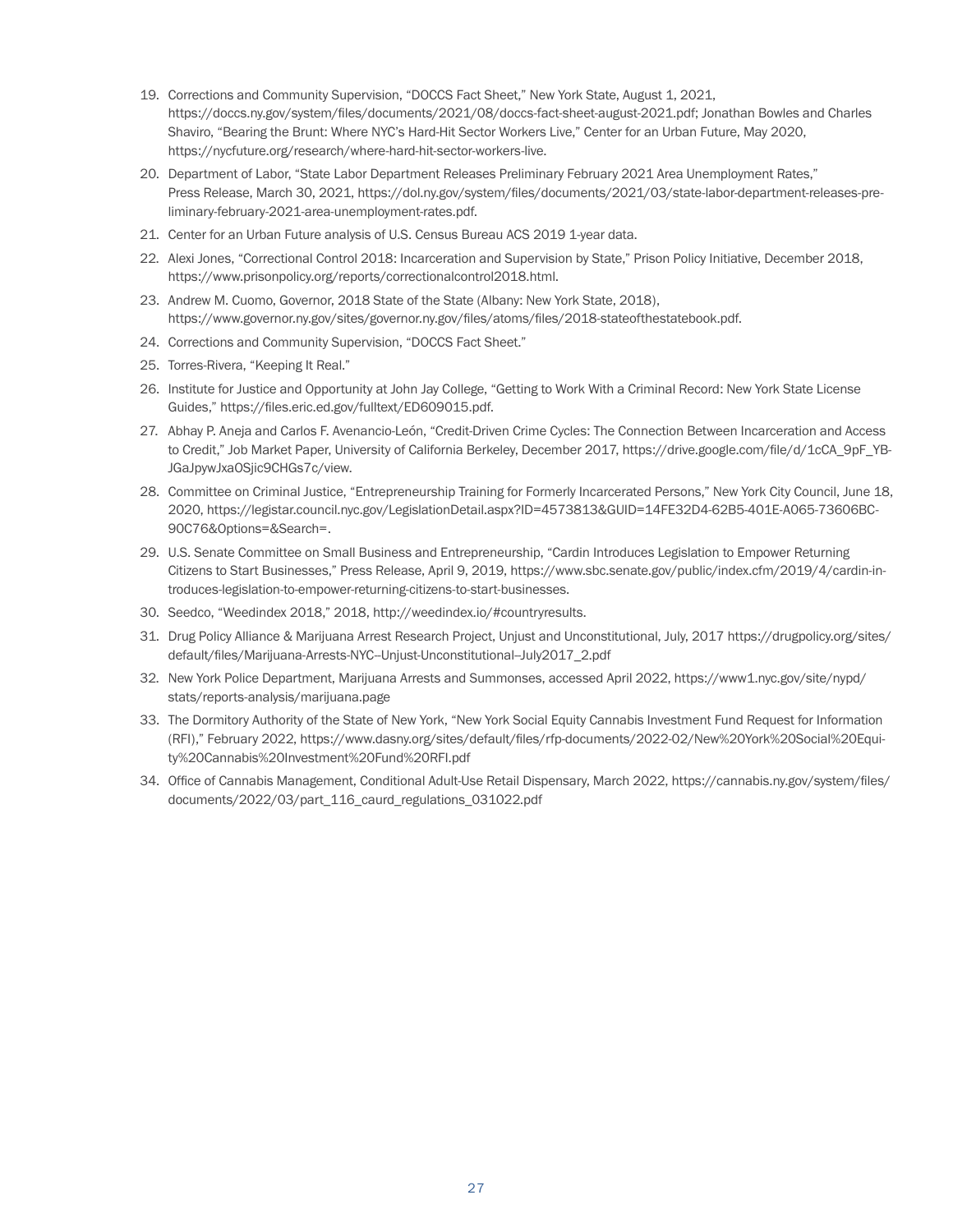- 19. Corrections and Community Supervision, "DOCCS Fact Sheet," New York State, August 1, 2021, https://doccs.ny.gov/system/files/documents/2021/08/doccs-fact-sheet-august-2021.pdf; Jonathan Bowles and Charles Shaviro, "Bearing the Brunt: Where NYC's Hard-Hit Sector Workers Live," Center for an Urban Future, May 2020, https://nycfuture.org/research/where-hard-hit-sector-workers-live.
- 20. Department of Labor, "State Labor Department Releases Preliminary February 2021 Area Unemployment Rates," Press Release, March 30, 2021, https://dol.ny.gov/system/files/documents/2021/03/state-labor-department-releases-preliminary-february-2021-area-unemployment-rates.pdf.
- 21. Center for an Urban Future analysis of U.S. Census Bureau ACS 2019 1-year data.
- 22. Alexi Jones, "Correctional Control 2018: Incarceration and Supervision by State," Prison Policy Initiative, December 2018, https://www.prisonpolicy.org/reports/correctionalcontrol2018.html.
- 23. Andrew M. Cuomo, Governor, 2018 State of the State (Albany: New York State, 2018), https://www.governor.ny.gov/sites/governor.ny.gov/files/atoms/files/2018-stateofthestatebook.pdf.
- 24. Corrections and Community Supervision, "DOCCS Fact Sheet."
- 25. Torres-Rivera, "Keeping It Real."
- 26. Institute for Justice and Opportunity at John Jay College, "Getting to Work With a Criminal Record: New York State License Guides," https://files.eric.ed.gov/fulltext/ED609015.pdf.
- 27. Abhay P. Aneja and Carlos F. Avenancio-León, "Credit-Driven Crime Cycles: The Connection Between Incarceration and Access to Credit," Job Market Paper, University of California Berkeley, December 2017, https://drive.google.com/file/d/1cCA\_9pF\_YB-JGaJpywJxaOSjic9CHGs7c/view.
- 28. Committee on Criminal Justice, "Entrepreneurship Training for Formerly Incarcerated Persons," New York City Council, June 18, 2020, https://legistar.council.nyc.gov/LegislationDetail.aspx?ID=4573813&GUID=14FE32D4-62B5-401E-A065-73606BC-90C76&Options=&Search=.
- 29. U.S. Senate Committee on Small Business and Entrepreneurship, "Cardin Introduces Legislation to Empower Returning Citizens to Start Businesses," Press Release, April 9, 2019, https://www.sbc.senate.gov/public/index.cfm/2019/4/cardin-introduces-legislation-to-empower-returning-citizens-to-start-businesses.
- 30. Seedco, "Weedindex 2018," 2018, http://weedindex.io/#countryresults.
- 31. Drug Policy Alliance & Marijuana Arrest Research Project, Unjust and Unconstitutional, July, 2017 https://drugpolicy.org/sites/ default/files/Marijuana-Arrests-NYC-Unjust-Unconstitutional-July2017\_2.pdf
- 32. New York Police Department, Marijuana Arrests and Summonses, accessed April 2022, https://www1.nyc.gov/site/nypd/ stats/reports-analysis/marijuana.page
- 33. The Dormitory Authority of the State of New York, "New York Social Equity Cannabis Investment Fund Request for Information (RFI)," February 2022, https://www.dasny.org/sites/default/files/rfp-documents/2022-02/New%20York%20Social%20Equity%20Cannabis%20Investment%20Fund%20RFI.pdf
- 34. Office of Cannabis Management, Conditional Adult-Use Retail Dispensary, March 2022, https://cannabis.ny.gov/system/files/ documents/2022/03/part\_116\_caurd\_regulations\_031022.pdf